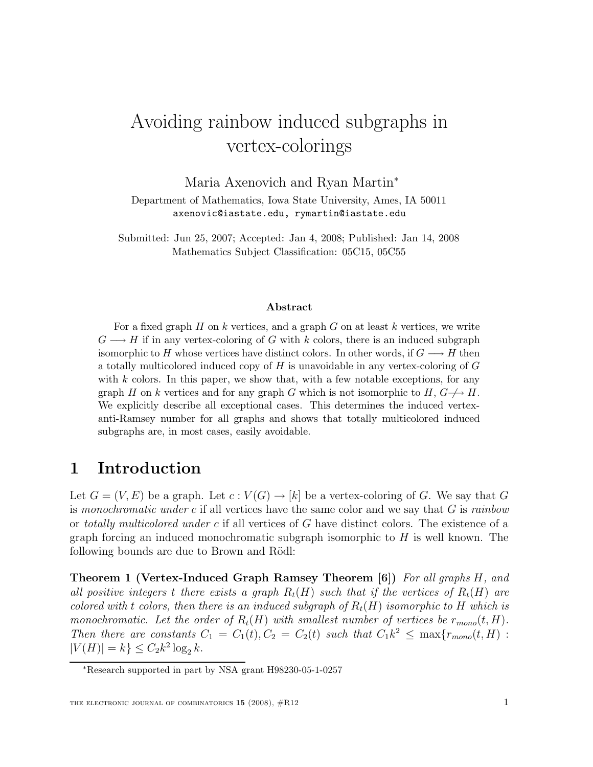# Avoiding rainbow induced subgraphs in vertex-colorings

Maria Axenovich and Ryan Martin<sup>∗</sup>

Department of Mathematics, Iowa State University, Ames, IA 50011 axenovic@iastate.edu, rymartin@iastate.edu

Submitted: Jun 25, 2007; Accepted: Jan 4, 2008; Published: Jan 14, 2008 Mathematics Subject Classification: 05C15, 05C55

#### Abstract

For a fixed graph  $H$  on k vertices, and a graph  $G$  on at least k vertices, we write  $G \longrightarrow H$  if in any vertex-coloring of G with k colors, there is an induced subgraph isomorphic to H whose vertices have distinct colors. In other words, if  $G \longrightarrow H$  then a totally multicolored induced copy of  $H$  is unavoidable in any vertex-coloring of  $G$ with  $k$  colors. In this paper, we show that, with a few notable exceptions, for any graph H on k vertices and for any graph G which is not isomorphic to  $H, G \rightarrow H$ . We explicitly describe all exceptional cases. This determines the induced vertexanti-Ramsey number for all graphs and shows that totally multicolored induced subgraphs are, in most cases, easily avoidable.

# 1 Introduction

Let  $G = (V, E)$  be a graph. Let  $c: V(G) \to [k]$  be a vertex-coloring of G. We say that G is monochromatic under c if all vertices have the same color and we say that  $G$  is rainbow or totally multicolored under c if all vertices of G have distinct colors. The existence of a graph forcing an induced monochromatic subgraph isomorphic to  $H$  is well known. The following bounds are due to Brown and Rödl:

Theorem 1 (Vertex-Induced Graph Ramsey Theorem [6]) For all graphs H, and all positive integers t there exists a graph  $R_t(H)$  such that if the vertices of  $R_t(H)$  are colored with t colors, then there is an induced subgraph of  $R_t(H)$  isomorphic to H which is monochromatic. Let the order of  $R_t(H)$  with smallest number of vertices be  $r_{mono}(t, H)$ . Then there are constants  $C_1 = C_1(t)$ ,  $C_2 = C_2(t)$  such that  $C_1k^2 \leq \max\{r_{mono}(t, H):$  $|V(H)| = k$   $\leq C_2 k^2 \log_2 k$ .

<sup>∗</sup>Research supported in part by NSA grant H98230-05-1-0257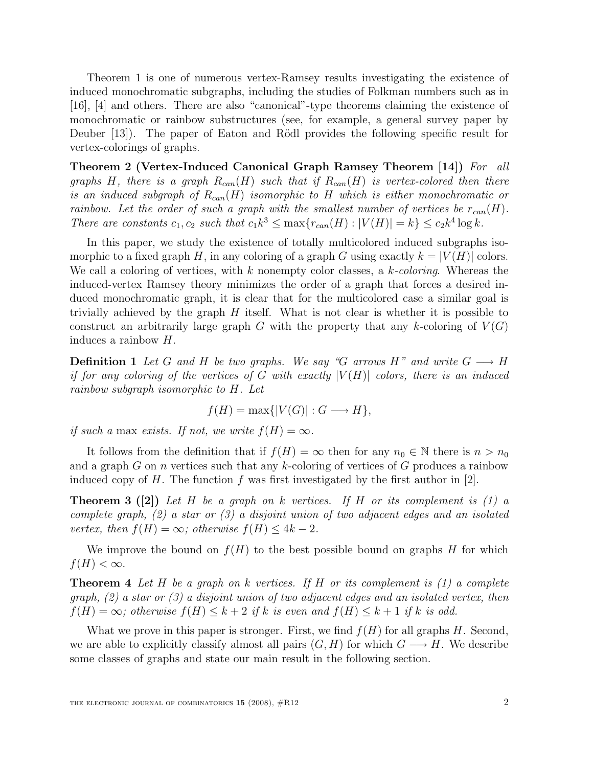Theorem 1 is one of numerous vertex-Ramsey results investigating the existence of induced monochromatic subgraphs, including the studies of Folkman numbers such as in [16], [4] and others. There are also "canonical"-type theorems claiming the existence of monochromatic or rainbow substructures (see, for example, a general survey paper by Deuber [13]). The paper of Eaton and Rödl provides the following specific result for vertex-colorings of graphs.

Theorem 2 (Vertex-Induced Canonical Graph Ramsey Theorem [14]) For all graphs H, there is a graph  $R_{can}(H)$  such that if  $R_{can}(H)$  is vertex-colored then there is an induced subgraph of  $R_{can}(H)$  isomorphic to H which is either monochromatic or rainbow. Let the order of such a graph with the smallest number of vertices be  $r_{can}(H)$ . There are constants  $c_1, c_2$  such that  $c_1 k^3 \leq \max\{r_{can}(H) : |V(H)| = k\} \leq c_2 k^4 \log k$ .

In this paper, we study the existence of totally multicolored induced subgraphs isomorphic to a fixed graph H, in any coloring of a graph G using exactly  $k = |V(H)|$  colors. We call a coloring of vertices, with  $k$  nonempty color classes, a  $k$ -coloring. Whereas the induced-vertex Ramsey theory minimizes the order of a graph that forces a desired induced monochromatic graph, it is clear that for the multicolored case a similar goal is trivially achieved by the graph  $H$  itself. What is not clear is whether it is possible to construct an arbitrarily large graph G with the property that any k-coloring of  $V(G)$ induces a rainbow H.

**Definition 1** Let G and H be two graphs. We say "G arrows H" and write  $G \longrightarrow H$ if for any coloring of the vertices of G with exactly  $|V(H)|$  colors, there is an induced rainbow subgraph isomorphic to H. Let

$$
f(H) = \max\{|V(G)| : G \longrightarrow H\},\
$$

if such a max exists. If not, we write  $f(H) = \infty$ .

It follows from the definition that if  $f(H) = \infty$  then for any  $n_0 \in \mathbb{N}$  there is  $n > n_0$ and a graph G on n vertices such that any k-coloring of vertices of G produces a rainbow induced copy of H. The function f was first investigated by the first author in [2].

**Theorem 3** ([2]) Let H be a graph on k vertices. If H or its complement is (1) a complete graph,  $(2)$  a star or  $(3)$  a disjoint union of two adjacent edges and an isolated vertex, then  $f(H) = \infty$ ; otherwise  $f(H) \leq 4k - 2$ .

We improve the bound on  $f(H)$  to the best possible bound on graphs H for which  $f(H) < \infty$ .

**Theorem 4** Let H be a graph on k vertices. If H or its complement is  $(1)$  a complete graph,  $(2)$  a star or  $(3)$  a disjoint union of two adjacent edges and an isolated vertex, then  $f(H) = \infty$ ; otherwise  $f(H) \leq k+2$  if k is even and  $f(H) \leq k+1$  if k is odd.

What we prove in this paper is stronger. First, we find  $f(H)$  for all graphs H. Second, we are able to explicitly classify almost all pairs  $(G, H)$  for which  $G \longrightarrow H$ . We describe some classes of graphs and state our main result in the following section.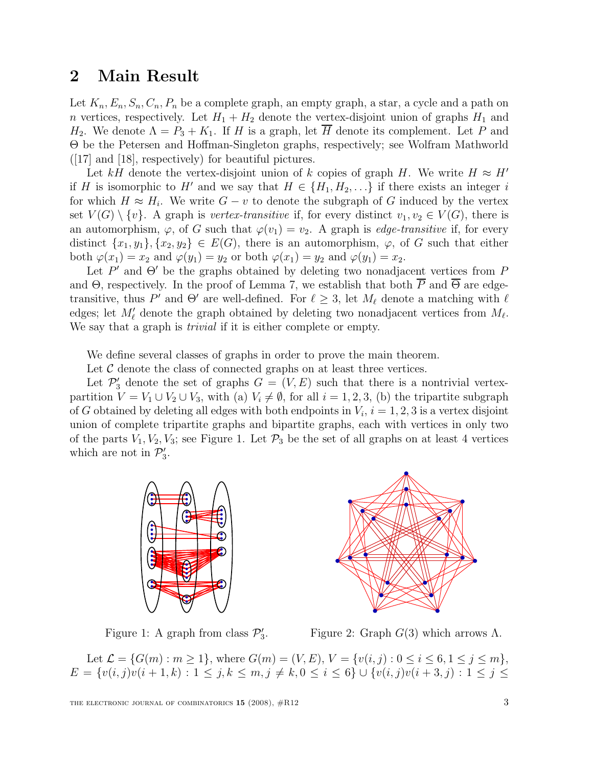### 2 Main Result

Let  $K_n, E_n, S_n, C_n, P_n$  be a complete graph, an empty graph, a star, a cycle and a path on n vertices, respectively. Let  $H_1 + H_2$  denote the vertex-disjoint union of graphs  $H_1$  and  $H_2$ . We denote  $\Lambda = P_3 + K_1$ . If H is a graph, let H denote its complement. Let P and Θ be the Petersen and Hoffman-Singleton graphs, respectively; see Wolfram Mathworld ([17] and [18], respectively) for beautiful pictures.

Let kH denote the vertex-disjoint union of k copies of graph H. We write  $H \approx H'$ if H is isomorphic to H' and we say that  $H \in \{H_1, H_2, \ldots\}$  if there exists an integer i for which  $H \approx H_i$ . We write  $G - v$  to denote the subgraph of G induced by the vertex set  $V(G) \setminus \{v\}$ . A graph is vertex-transitive if, for every distinct  $v_1, v_2 \in V(G)$ , there is an automorphism,  $\varphi$ , of G such that  $\varphi(v_1) = v_2$ . A graph is *edge-transitive* if, for every distinct  $\{x_1, y_1\}, \{x_2, y_2\} \in E(G)$ , there is an automorphism,  $\varphi$ , of G such that either both  $\varphi(x_1) = x_2$  and  $\varphi(y_1) = y_2$  or both  $\varphi(x_1) = y_2$  and  $\varphi(y_1) = x_2$ .

Let  $P'$  and  $\Theta'$  be the graphs obtained by deleting two nonadjacent vertices from P and  $\Theta$ , respectively. In the proof of Lemma 7, we establish that both  $\overline{P}$  and  $\overline{\Theta}$  are edgetransitive, thus P' and  $\Theta'$  are well-defined. For  $\ell \geq 3$ , let  $M_{\ell}$  denote a matching with  $\ell$ edges; let  $M'_\ell$  denote the graph obtained by deleting two nonadjacent vertices from  $M_\ell$ . We say that a graph is *trivial* if it is either complete or empty.

We define several classes of graphs in order to prove the main theorem.

Let  $\mathcal C$  denote the class of connected graphs on at least three vertices.

Let  $\mathcal{P}'_3$  denote the set of graphs  $G = (V, E)$  such that there is a nontrivial vertexpartition  $V = V_1 \cup V_2 \cup V_3$ , with (a)  $V_i \neq \emptyset$ , for all  $i = 1, 2, 3$ , (b) the tripartite subgraph of G obtained by deleting all edges with both endpoints in  $V_i$ ,  $i = 1, 2, 3$  is a vertex disjoint union of complete tripartite graphs and bipartite graphs, each with vertices in only two of the parts  $V_1, V_2, V_3$ ; see Figure 1. Let  $\mathcal{P}_3$  be the set of all graphs on at least 4 vertices which are not in  $\mathcal{P}'_3$ ,,<br>3.



Figure 1: A graph from class  $\mathcal{P}'_3$ 3

Figure 2: Graph  $G(3)$  which arrows  $\Lambda$ .

Let  $\mathcal{L} = \{G(m) : m \ge 1\}$ , where  $G(m) = (V, E), V = \{v(i, j) : 0 \le i \le 6, 1 \le j \le m\}$ ,  $E = \{v(i, j)v(i + 1, k) : 1 \leq j, k \leq m, j \neq k, 0 \leq i \leq 6\} \cup \{v(i, j)v(i + 3, j) : 1 \leq j \leq k\}$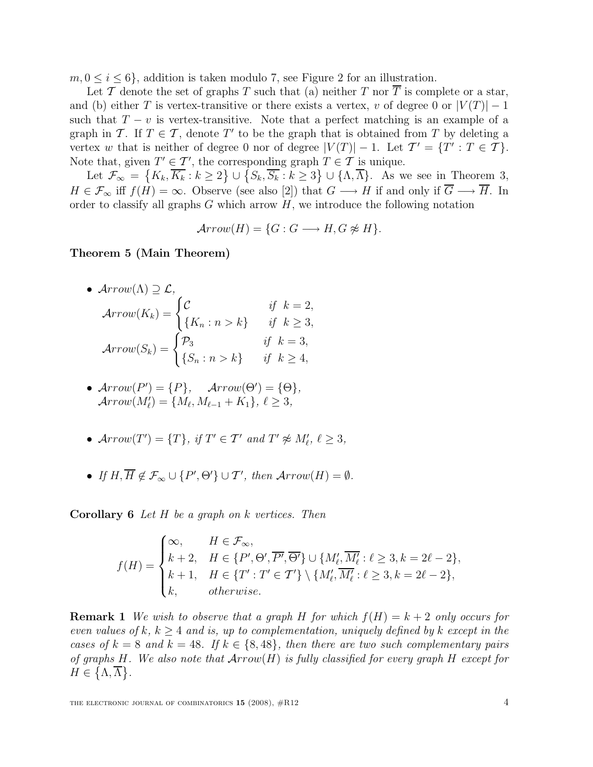$m, 0 \leq i \leq 6$ , addition is taken modulo 7, see Figure 2 for an illustration.

Let T denote the set of graphs T such that (a) neither T nor  $\overline{T}$  is complete or a star, and (b) either T is vertex-transitive or there exists a vertex, v of degree 0 or  $|V(T)| - 1$ such that  $T - v$  is vertex-transitive. Note that a perfect matching is an example of a graph in T. If  $T \in \mathcal{T}$ , denote T' to be the graph that is obtained from T by deleting a vertex w that is neither of degree 0 nor of degree  $|V(T)| - 1$ . Let  $T' = \{T' : T \in \mathcal{T}\}.$ Note that, given  $T' \in \mathcal{T}'$ , the corresponding graph  $T \in \mathcal{T}$  is unique.

Let  $\mathcal{F}_{\infty} = \left\{K_k, \overline{K_k} : k \geq 2\right\} \cup \left\{S_k, \overline{S_k} : k \geq 3\right\} \cup \{\Lambda, \overline{\Lambda}\}\right\}$ . As we see in Theorem 3,  $H \in \mathcal{F}_{\infty}$  iff  $f(H) = \infty$ . Observe (see also [2]) that  $G \longrightarrow H$  if and only if  $\overline{G} \longrightarrow \overline{H}$ . In order to classify all graphs  $G$  which arrow  $H$ , we introduce the following notation

$$
Arrow(H) = \{G : G \longrightarrow H, G \not\approx H\}.
$$

#### Theorem 5 (Main Theorem)

•  $Arrow(\Lambda) \supseteq \mathcal{L}$ ,

$$
Arrow(K_k) = \begin{cases} C & \text{if } k = 2, \\ \{K_n : n > k\} & \text{if } k \ge 3, \\ \text{Arrow}(S_k) = \begin{cases} \mathcal{P}_3 & \text{if } k = 3, \\ \{S_n : n > k\} & \text{if } k \ge 4, \end{cases} \end{cases}
$$

- $Arrow(P') = \{P\},$   $Arrow(\Theta') = \{\Theta\},$  $Arrow(M'_{\ell}) = \{M_{\ell}, M_{\ell-1} + K_1\}, \ \ell \geq 3,$
- $Arrow(T') = \{T\}, \text{ if } T' \in \mathcal{T}' \text{ and } T' \not\approx M'_\ell, \ell \geq 3,$
- If  $H, \overline{H} \notin \mathcal{F}_{\infty} \cup \{P', \Theta'\} \cup \mathcal{T}'$ , then  $Arrow(H) = \emptyset$ .

Corollary 6 Let H be a graph on k vertices. Then

$$
f(H) = \begin{cases} \infty, & H \in \mathcal{F}_{\infty}, \\ k+2, & H \in \{P', \Theta', \overline{P'}, \overline{\Theta'}\} \cup \{M'_{\ell}, \overline{M'_{\ell}} : \ell \geq 3, k = 2\ell - 2\}, \\ k+1, & H \in \{T' : T' \in \mathcal{T}'\} \setminus \{M'_{\ell}, \overline{M'_{\ell}} : \ell \geq 3, k = 2\ell - 2\}, \\ k, & otherwise. \end{cases}
$$

**Remark 1** We wish to observe that a graph H for which  $f(H) = k + 2$  only occurs for even values of k,  $k > 4$  and is, up to complementation, uniquely defined by k except in the cases of  $k = 8$  and  $k = 48$ . If  $k \in \{8, 48\}$ , then there are two such complementary pairs of graphs H. We also note that  $Arrow(H)$  is fully classified for every graph H except for  $H \in \{\Lambda, \overline{\Lambda}\}.$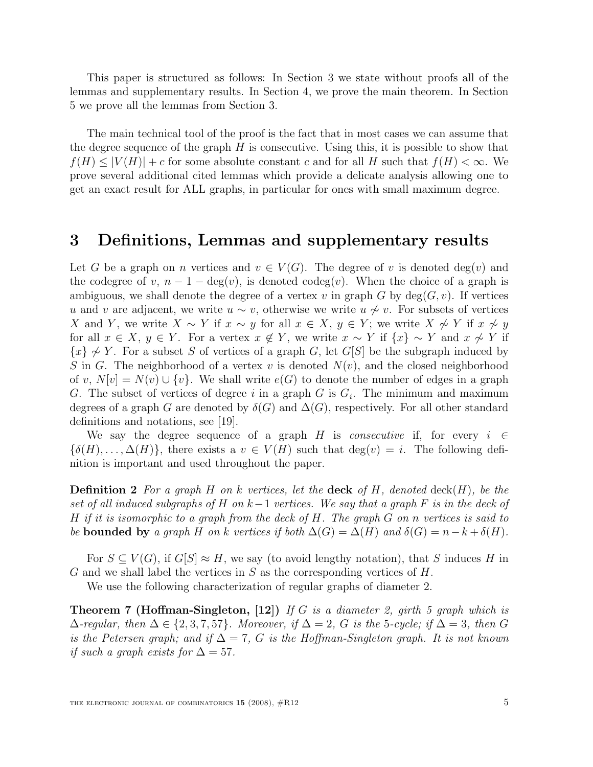This paper is structured as follows: In Section 3 we state without proofs all of the lemmas and supplementary results. In Section 4, we prove the main theorem. In Section 5 we prove all the lemmas from Section 3.

The main technical tool of the proof is the fact that in most cases we can assume that the degree sequence of the graph  $H$  is consecutive. Using this, it is possible to show that  $f(H) \leq |V(H)| + c$  for some absolute constant c and for all H such that  $f(H) \leq \infty$ . We prove several additional cited lemmas which provide a delicate analysis allowing one to get an exact result for ALL graphs, in particular for ones with small maximum degree.

# 3 Definitions, Lemmas and supplementary results

Let G be a graph on n vertices and  $v \in V(G)$ . The degree of v is denoted deg(v) and the codegree of v,  $n-1-\deg(v)$ , is denoted codeg $(v)$ . When the choice of a graph is ambiguous, we shall denote the degree of a vertex v in graph G by  $deg(G, v)$ . If vertices u and v are adjacent, we write  $u \sim v$ , otherwise we write  $u \nsim v$ . For subsets of vertices X and Y, we write  $X \sim Y$  if  $x \sim y$  for all  $x \in X$ ,  $y \in Y$ ; we write  $X \not\sim Y$  if  $x \not\sim y$ for all  $x \in X$ ,  $y \in Y$ . For a vertex  $x \notin Y$ , we write  $x \sim Y$  if  $\{x\} \sim Y$  and  $x \not\sim Y$  if  $\{x\} \not\sim Y$ . For a subset S of vertices of a graph G, let G[S] be the subgraph induced by S in G. The neighborhood of a vertex v is denoted  $N(v)$ , and the closed neighborhood of v,  $N[v] = N(v) \cup \{v\}$ . We shall write  $e(G)$  to denote the number of edges in a graph G. The subset of vertices of degree i in a graph G is  $G_i$ . The minimum and maximum degrees of a graph G are denoted by  $\delta(G)$  and  $\Delta(G)$ , respectively. For all other standard definitions and notations, see [19].

We say the degree sequence of a graph H is *consecutive* if, for every  $i \in$  $\{\delta(H), \ldots, \Delta(H)\}\,$ , there exists a  $v \in V(H)$  such that  $\deg(v) = i$ . The following definition is important and used throughout the paper.

**Definition 2** For a graph H on k vertices, let the **deck** of H, denoted deck $(H)$ , be the set of all induced subgraphs of H on  $k-1$  vertices. We say that a graph F is in the deck of H if it is isomorphic to a graph from the deck of H. The graph  $G$  on n vertices is said to be **bounded** by a graph H on k vertices if both  $\Delta(G) = \Delta(H)$  and  $\delta(G) = n - k + \delta(H)$ .

For  $S \subseteq V(G)$ , if  $G[S] \approx H$ , we say (to avoid lengthy notation), that S induces H in G and we shall label the vertices in  $S$  as the corresponding vertices of  $H$ .

We use the following characterization of regular graphs of diameter 2.

**Theorem 7 (Hoffman-Singleton, [12])** If G is a diameter 2, girth 5 graph which is  $\Delta$ -regular, then  $\Delta \in \{2, 3, 7, 57\}$ . Moreover, if  $\Delta = 2$ , G is the 5-cycle; if  $\Delta = 3$ , then G is the Petersen graph; and if  $\Delta = 7$ , G is the Hoffman-Singleton graph. It is not known if such a graph exists for  $\Delta = 57$ .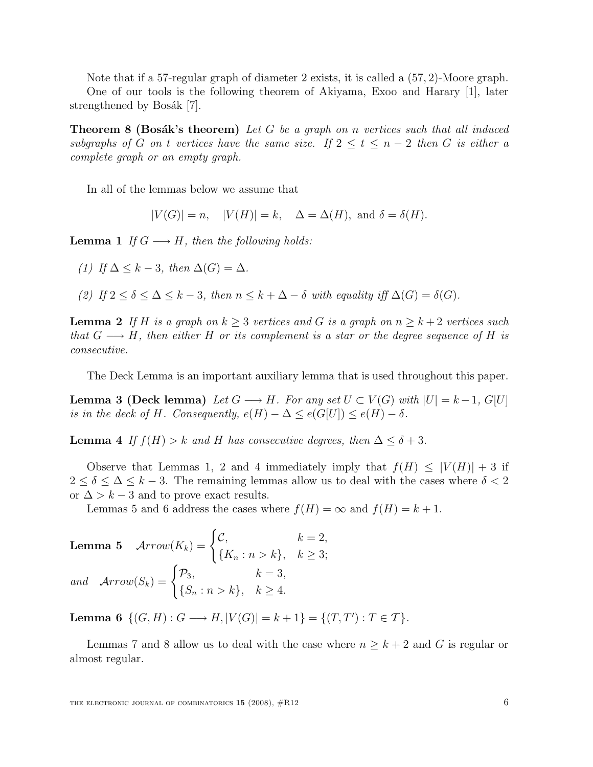Note that if a 57-regular graph of diameter 2 exists, it is called a (57, 2)-Moore graph. One of our tools is the following theorem of Akiyama, Exoo and Harary [1], later strengthened by Bosák [7].

**Theorem 8 (Bosák's theorem)** Let G be a graph on n vertices such that all induced subgraphs of G on t vertices have the same size. If  $2 \le t \le n-2$  then G is either a complete graph or an empty graph.

In all of the lemmas below we assume that

 $|V(G)| = n$ ,  $|V(H)| = k$ ,  $\Delta = \Delta(H)$ , and  $\delta = \delta(H)$ .

**Lemma 1** If  $G \longrightarrow H$ , then the following holds:

(1) If 
$$
\Delta \leq k - 3
$$
, then  $\Delta(G) = \Delta$ .

(2) If  $2 \le \delta \le \Delta \le k-3$ , then  $n \le k+\Delta-\delta$  with equality iff  $\Delta(G) = \delta(G)$ .

**Lemma 2** If H is a graph on  $k \geq 3$  vertices and G is a graph on  $n \geq k+2$  vertices such that  $G \longrightarrow H$ , then either H or its complement is a star or the degree sequence of H is consecutive.

The Deck Lemma is an important auxiliary lemma that is used throughout this paper.

**Lemma 3 (Deck lemma)** Let  $G \longrightarrow H$ . For any set  $U \subset V(G)$  with  $|U| = k - 1$ ,  $G[U]$ is in the deck of H. Consequently,  $e(H) - \Delta \leq e(G[U]) \leq e(H) - \delta$ .

**Lemma 4** If  $f(H) > k$  and H has consecutive degrees, then  $\Delta \leq \delta + 3$ .

Observe that Lemmas 1, 2 and 4 immediately imply that  $f(H) \leq |V(H)| + 3$  if  $2 \leq \delta \leq \Delta \leq k-3$ . The remaining lemmas allow us to deal with the cases where  $\delta < 2$ or  $\Delta > k - 3$  and to prove exact results.

Lemmas 5 and 6 address the cases where  $f(H) = \infty$  and  $f(H) = k + 1$ .

**Lemma 5** 
$$
Arrow(K_k) = \begin{cases} C, & k = 2, \\ \{K_n : n > k\}, & k \ge 3; \end{cases}
$$
  
and 
$$
Arrow(S_k) = \begin{cases} \mathcal{P}_3, & k = 3, \\ \{S_n : n > k\}, & k \ge 4. \end{cases}
$$

Lemma 6  $\{(G, H) : G \longrightarrow H, |V(G)| = k + 1\} = \{(T, T') : T \in \mathcal{T}\}.$ 

Lemmas 7 and 8 allow us to deal with the case where  $n > k + 2$  and G is regular or almost regular.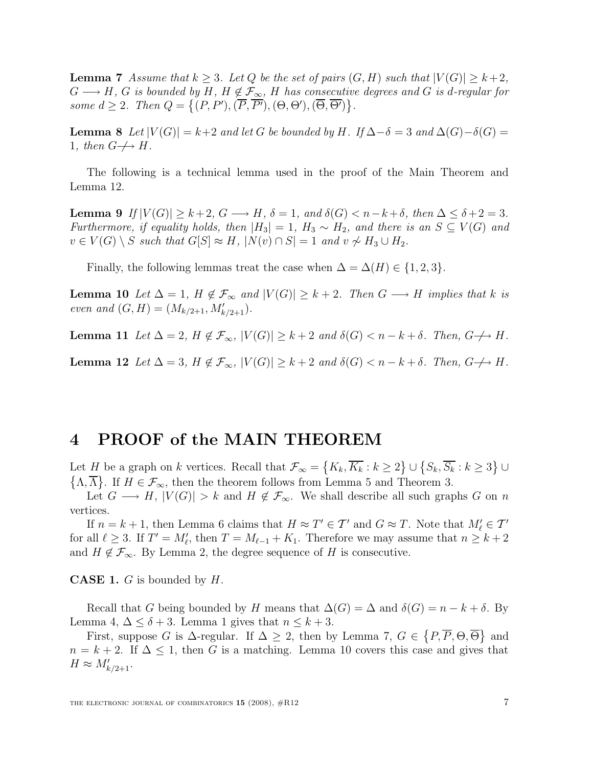**Lemma 7** Assume that  $k \geq 3$ . Let Q be the set of pairs  $(G, H)$  such that  $|V(G)| \geq k+2$ ,  $G \longrightarrow H$ , G is bounded by H,  $H \notin \mathcal{F}_{\infty}$ , H has consecutive degrees and G is d-regular for some  $d \geq 2$ . Then  $Q = \{(P, P'), (\overline{P}, \overline{P'}), (\Theta, \Theta'), (\overline{\Theta}, \overline{\Theta'})\}$ .

**Lemma 8** Let  $|V(G)| = k+2$  and let G be bounded by H. If  $\Delta - \delta = 3$  and  $\Delta(G) - \delta(G) =$ 1, then  $G \nightharpoondown H$ .

The following is a technical lemma used in the proof of the Main Theorem and Lemma 12.

**Lemma 9** If  $|V(G)| \geq k+2$ ,  $G \longrightarrow H$ ,  $\delta = 1$ , and  $\delta(G) < n-k+\delta$ , then  $\Delta \leq \delta+2=3$ . Furthermore, if equality holds, then  $|H_3| = 1$ ,  $H_3 \sim H_2$ , and there is an  $S \subseteq V(G)$  and  $v \in V(G) \setminus S$  such that  $G[S] \approx H$ ,  $|N(v) \cap S| = 1$  and  $v \not\sim H_3 \cup H_2$ .

Finally, the following lemmas treat the case when  $\Delta = \Delta(H) \in \{1, 2, 3\}.$ 

**Lemma 10** Let  $\Delta = 1$ ,  $H \notin \mathcal{F}_{\infty}$  and  $|V(G)| \geq k+2$ . Then  $G \longrightarrow H$  implies that k is even and  $(G, H) = (M_{k/2+1}, M'_{k/2+1}).$ 

**Lemma 11** Let  $\Delta = 2$ ,  $H \notin \mathcal{F}_{\infty}$ ,  $|V(G)| \geq k+2$  and  $\delta(G) < n-k+\delta$ . Then,  $G \nightharpoonup H$ .

**Lemma 12** Let  $\Delta = 3$ ,  $H \notin \mathcal{F}_{\infty}$ ,  $|V(G)| \geq k+2$  and  $\delta(G) < n-k+\delta$ . Then,  $G \nightharpoonup H$ .

# 4 PROOF of the MAIN THEOREM

Let H be a graph on k vertices. Recall that  $\mathcal{F}_{\infty} = \{K_k, \overline{K_k} : k \geq 2\} \cup \{S_k, \overline{S_k} : k \geq 3\} \cup$  $\{\Lambda,\overline{\Lambda}\}\.$  If  $H \in \mathcal{F}_{\infty}$ , then the theorem follows from Lemma 5 and Theorem 3.

Let  $G \longrightarrow H$ ,  $|V(G)| > k$  and  $H \notin \mathcal{F}_{\infty}$ . We shall describe all such graphs G on n vertices.

If  $n = k + 1$ , then Lemma 6 claims that  $H \approx T' \in T'$  and  $G \approx T$ . Note that  $M'_{\ell} \in T'$ for all  $\ell \geq 3$ . If  $T' = M_{\ell}$ , then  $T = M_{\ell-1} + K_1$ . Therefore we may assume that  $n \geq k+2$ and  $H \notin \mathcal{F}_{\infty}$ . By Lemma 2, the degree sequence of H is consecutive.

**CASE 1.**  $G$  is bounded by  $H$ .

Recall that G being bounded by H means that  $\Delta(G) = \Delta$  and  $\delta(G) = n - k + \delta$ . By Lemma 4,  $\Delta \leq \delta + 3$ . Lemma 1 gives that  $n \leq k + 3$ .

First, suppose G is  $\Delta$ -regular. If  $\Delta \geq 2$ , then by Lemma 7,  $G \in \{P, \overline{P}, \Theta, \overline{\Theta}\}\$  and  $n = k + 2$ . If  $\Delta \leq 1$ , then G is a matching. Lemma 10 covers this case and gives that  $H \approx M'_{k/2+1}.$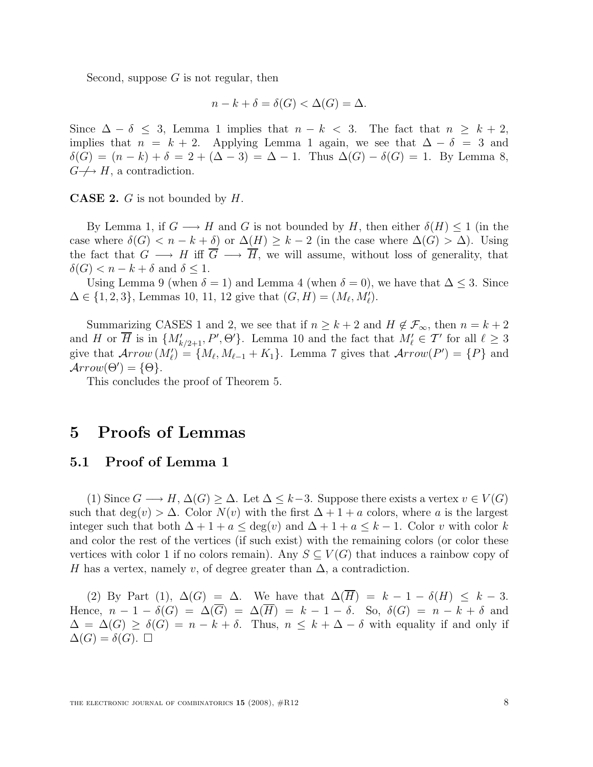Second, suppose  $G$  is not regular, then

$$
n - k + \delta = \delta(G) < \Delta(G) = \Delta.
$$

Since  $\Delta - \delta \leq 3$ , Lemma 1 implies that  $n - k < 3$ . The fact that  $n \geq k + 2$ , implies that  $n = k + 2$ . Applying Lemma 1 again, we see that  $\Delta - \delta = 3$  and  $\delta(G) = (n - k) + \delta = 2 + (\Delta - 3) = \Delta - 1$ . Thus  $\Delta(G) - \delta(G) = 1$ . By Lemma 8,  $G \nightharpoondown H$ , a contradiction.

**CASE 2.**  $G$  is not bounded by  $H$ .

By Lemma 1, if  $G \longrightarrow H$  and G is not bounded by H, then either  $\delta(H) \leq 1$  (in the case where  $\delta(G) < n - k + \delta$  or  $\Delta(H) \geq k - 2$  (in the case where  $\Delta(G) > \Delta$ ). Using the fact that  $G \longrightarrow H$  iff  $\overline{G} \longrightarrow \overline{H}$ , we will assume, without loss of generality, that  $\delta(G) < n - k + \delta$  and  $\delta \leq 1$ .

Using Lemma 9 (when  $\delta = 1$ ) and Lemma 4 (when  $\delta = 0$ ), we have that  $\Delta \leq 3$ . Since  $\Delta \in \{1, 2, 3\}$ , Lemmas 10, 11, 12 give that  $(G, H) = (M_{\ell}, M'_{\ell}).$ 

Summarizing CASES 1 and 2, we see that if  $n \geq k+2$  and  $H \notin \mathcal{F}_{\infty}$ , then  $n = k+2$ and H or  $\overline{H}$  is in  $\{M'_{k/2+1}, P', \Theta'\}$ . Lemma 10 and the fact that  $M'_{\ell} \in \mathcal{T}'$  for all  $\ell \geq 3$ give that  $Arrow(M'_\ell) = \{M_\ell, M_{\ell-1} + K_1\}$ . Lemma 7 gives that  $Arrow(P') = \{P\}$  and  $Arrow(\Theta') = {\Theta}.$ 

This concludes the proof of Theorem 5.

## 5 Proofs of Lemmas

#### 5.1 Proof of Lemma 1

(1) Since  $G \longrightarrow H$ ,  $\Delta(G) \geq \Delta$ . Let  $\Delta \leq k-3$ . Suppose there exists a vertex  $v \in V(G)$ such that  $\deg(v) > \Delta$ . Color  $N(v)$  with the first  $\Delta + 1 + a$  colors, where a is the largest integer such that both  $\Delta + 1 + a \leq deg(v)$  and  $\Delta + 1 + a \leq k - 1$ . Color v with color k and color the rest of the vertices (if such exist) with the remaining colors (or color these vertices with color 1 if no colors remain). Any  $S \subseteq V(G)$  that induces a rainbow copy of H has a vertex, namely v, of degree greater than  $\Delta$ , a contradiction.

(2) By Part (1),  $\Delta(G) = \Delta$ . We have that  $\Delta(\overline{H}) = k - 1 - \delta(H) \leq k - 3$ . Hence,  $n-1-\delta(G) = \Delta(\overline{G}) = \Delta(\overline{H}) = k-1-\delta$ . So,  $\delta(G) = n-k+\delta$  and  $\Delta = \Delta(G) \ge \delta(G) = n - k + \delta$ . Thus,  $n \le k + \Delta - \delta$  with equality if and only if  $\Delta(G) = \delta(G)$ .  $\Box$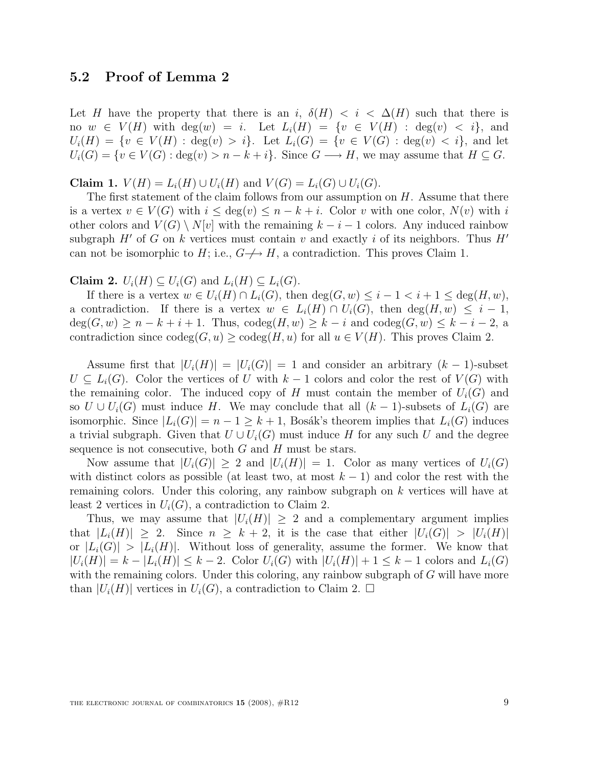### 5.2 Proof of Lemma 2

Let H have the property that there is an i,  $\delta(H) < i < \Delta(H)$  such that there is no  $w \in V(H)$  with  $deg(w) = i$ . Let  $L_i(H) = \{v \in V(H) : deg(v) < i\}$ , and  $U_i(H) = \{v \in V(H) : \deg(v) > i\}.$  Let  $L_i(G) = \{v \in V(G) : \deg(v) < i\},\$ and let  $U_i(G) = \{v \in V(G) : \deg(v) > n - k + i\}.$  Since  $G \longrightarrow H$ , we may assume that  $H \subseteq G$ .

**Claim 1.**  $V(H) = L_i(H) \cup U_i(H)$  and  $V(G) = L_i(G) \cup U_i(G)$ .

The first statement of the claim follows from our assumption on  $H$ . Assume that there is a vertex  $v \in V(G)$  with  $i \leq \deg(v) \leq n - k + i$ . Color v with one color,  $N(v)$  with i other colors and  $V(G) \setminus N[v]$  with the remaining  $k - i - 1$  colors. Any induced rainbow subgraph H' of G on k vertices must contain v and exactly i of its neighbors. Thus  $H'$ can not be isomorphic to H; i.e.,  $G \nightharpoondown H$ , a contradiction. This proves Claim 1.

Claim 2.  $U_i(H) \subseteq U_i(G)$  and  $L_i(H) \subseteq L_i(G)$ .

If there is a vertex  $w \in U_i(H) \cap L_i(G)$ , then  $\deg(G, w) \leq i - 1 < i + 1 \leq \deg(H, w)$ , a contradiction. If there is a vertex  $w \in L_i(H) \cap U_i(G)$ , then  $deg(H, w) \leq i - 1$ ,  $deg(G, w) \ge n - k + i + 1$ . Thus,  $codeg(H, w) \ge k - i$  and  $codeg(G, w) \le k - i - 2$ , a contradiction since  $\operatorname{codeg}(G, u) \ge \operatorname{codeg}(H, u)$  for all  $u \in V(H)$ . This proves Claim 2.

Assume first that  $|U_i(H)| = |U_i(G)| = 1$  and consider an arbitrary  $(k-1)$ -subset  $U \subseteq L<sub>i</sub>(G)$ . Color the vertices of U with  $k-1$  colors and color the rest of  $V(G)$  with the remaining color. The induced copy of H must contain the member of  $U_i(G)$  and so  $U \cup U_i(G)$  must induce H. We may conclude that all  $(k-1)$ -subsets of  $L_i(G)$  are isomorphic. Since  $|L_i(G)| = n - 1 \geq k + 1$ , Bosák's theorem implies that  $L_i(G)$  induces a trivial subgraph. Given that  $U \cup U_i(G)$  must induce H for any such U and the degree sequence is not consecutive, both  $G$  and  $H$  must be stars.

Now assume that  $|U_i(G)| \geq 2$  and  $|U_i(H)| = 1$ . Color as many vertices of  $U_i(G)$ with distinct colors as possible (at least two, at most  $k-1$ ) and color the rest with the remaining colors. Under this coloring, any rainbow subgraph on k vertices will have at least 2 vertices in  $U_i(G)$ , a contradiction to Claim 2.

Thus, we may assume that  $|U_i(H)| \geq 2$  and a complementary argument implies that  $|L_i(H)| \geq 2$ . Since  $n \geq k+2$ , it is the case that either  $|U_i(G)| > |U_i(H)|$ or  $|L_i(G)| > |L_i(H)|$ . Without loss of generality, assume the former. We know that  $|U_i(H)| = k - |L_i(H)| \leq k - 2$ . Color  $U_i(G)$  with  $|U_i(H)| + 1 \leq k - 1$  colors and  $L_i(G)$ with the remaining colors. Under this coloring, any rainbow subgraph of G will have more than  $|U_i(H)|$  vertices in  $U_i(G)$ , a contradiction to Claim 2.  $\Box$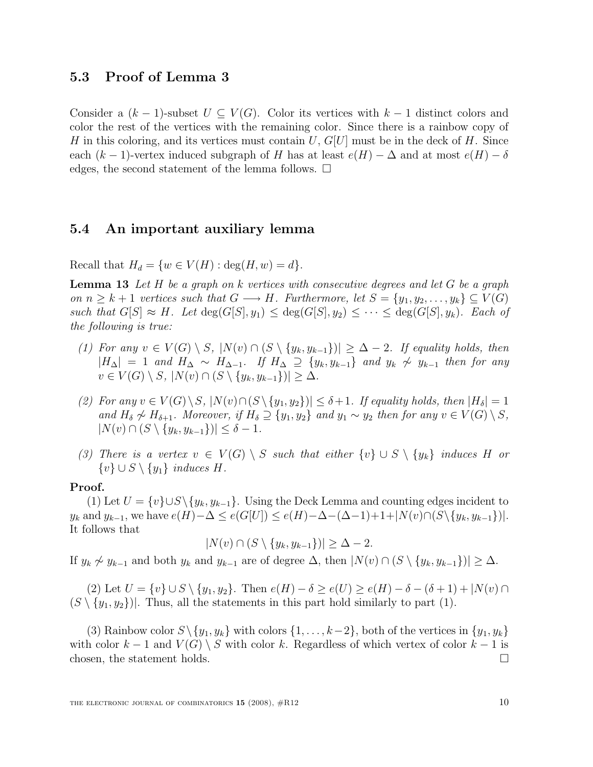#### 5.3 Proof of Lemma 3

Consider a  $(k-1)$ -subset  $U \subseteq V(G)$ . Color its vertices with  $k-1$  distinct colors and color the rest of the vertices with the remaining color. Since there is a rainbow copy of H in this coloring, and its vertices must contain  $U, G[U]$  must be in the deck of H. Since each  $(k-1)$ -vertex induced subgraph of H has at least  $e(H) - \Delta$  and at most  $e(H) - \delta$ edges, the second statement of the lemma follows.  $\Box$ 

#### 5.4 An important auxiliary lemma

Recall that  $H_d = \{w \in V(H) : \deg(H, w) = d\}.$ 

**Lemma 13** Let  $H$  be a graph on  $k$  vertices with consecutive degrees and let  $G$  be a graph on  $n \geq k+1$  vertices such that  $G \longrightarrow H$ . Furthermore, let  $S = \{y_1, y_2, \ldots, y_k\} \subseteq V(G)$ such that  $G[S] \approx H$ . Let  $\deg(G[S], y_1) \leq \deg(G[S], y_2) \leq \cdots \leq \deg(G[S], y_k)$ . Each of the following is true:

- (1) For any  $v \in V(G) \setminus S$ ,  $|N(v) \cap (S \setminus \{y_k, y_{k-1}\})| \geq \Delta 2$ . If equality holds, then  $|H_{\Delta}| = 1$  and  $H_{\Delta} \sim H_{\Delta-1}$ . If  $H_{\Delta} \supseteq \{y_k, y_{k-1}\}\$  and  $y_k \not\sim y_{k-1}$  then for any  $v \in V(G) \setminus S, |N(v) \cap (S \setminus \{y_k, y_{k-1}\})| \geq \Delta.$
- (2) For any  $v \in V(G) \setminus S$ ,  $|N(v) \cap (S \setminus \{y_1, y_2\})| \leq \delta + 1$ . If equality holds, then  $|H_{\delta}| = 1$ and  $H_\delta \not\sim H_{\delta+1}$ . Moreover, if  $H_\delta \supseteq \{y_1, y_2\}$  and  $y_1 \sim y_2$  then for any  $v \in V(G) \setminus S$ ,  $|N(v) \cap (S \setminus \{y_k, y_{k-1}\})| \leq \delta - 1.$
- (3) There is a vertex  $v \in V(G) \setminus S$  such that either  $\{v\} \cup S \setminus \{y_k\}$  induces H or  $\{v\} \cup S \setminus \{y_1\}$  induces H.

#### Proof.

(1) Let  $U = \{v\} \cup S \setminus \{y_k, y_{k-1}\}.$  Using the Deck Lemma and counting edges incident to  $y_k$  and  $y_{k-1}$ , we have  $e(H)-\Delta \leq e(G[U]) \leq e(H)-\Delta-(\Delta-1)+1+|N(v)\cap(S\setminus \{y_k,y_{k-1}\})|$ . It follows that

$$
|N(v) \cap (S \setminus \{y_k, y_{k-1}\})| \geq \Delta - 2.
$$

If  $y_k \not\sim y_{k-1}$  and both  $y_k$  and  $y_{k-1}$  are of degree  $\Delta$ , then  $|N(v) \cap (S \setminus \{y_k, y_{k-1}\})| \geq \Delta$ .

(2) Let  $U = \{v\} \cup S \setminus \{y_1, y_2\}$ . Then  $e(H) - \delta \geq e(U) \geq e(H) - \delta - (\delta + 1) + |N(v) \cap$  $(S \setminus \{y_1, y_2\})$ . Thus, all the statements in this part hold similarly to part (1).

(3) Rainbow color  $S \setminus \{y_1, y_k\}$  with colors  $\{1, \ldots, k-2\}$ , both of the vertices in  $\{y_1, y_k\}$ with color  $k-1$  and  $V(G) \setminus S$  with color k. Regardless of which vertex of color  $k-1$  is chosen, the statement holds.  $\square$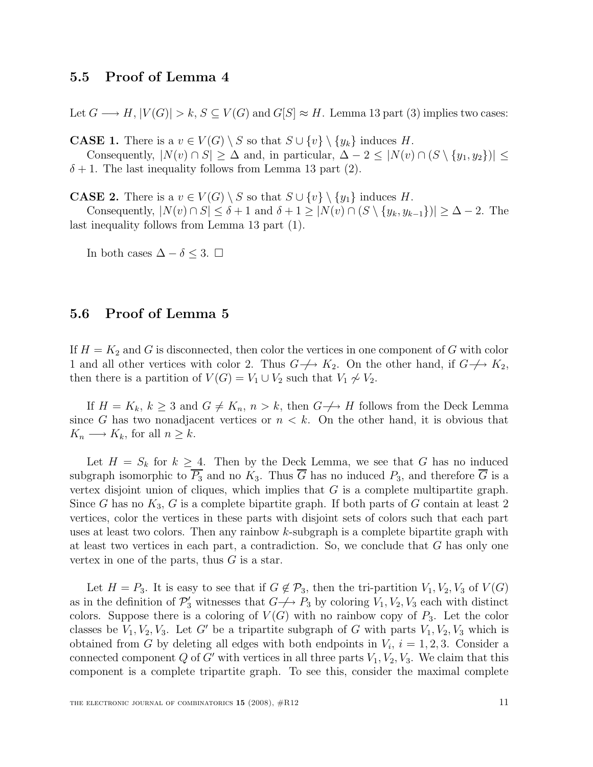### 5.5 Proof of Lemma 4

Let  $G \longrightarrow H$ ,  $|V(G)| > k$ ,  $S \subseteq V(G)$  and  $G[S] \approx H$ . Lemma 13 part (3) implies two cases:

**CASE 1.** There is a  $v \in V(G) \setminus S$  so that  $S \cup \{v\} \setminus \{y_k\}$  induces H.

Consequently,  $|N(v) \cap S| \geq \Delta$  and, in particular,  $\Delta - 2 \leq |N(v) \cap (S \setminus \{y_1, y_2\})| \leq$  $\delta + 1$ . The last inequality follows from Lemma 13 part (2).

**CASE 2.** There is a  $v \in V(G) \setminus S$  so that  $S \cup \{v\} \setminus \{y_1\}$  induces H.

Consequently,  $|N(v) \cap S| \leq \delta + 1$  and  $\delta + 1 \geq |N(v) \cap (S \setminus \{y_k, y_{k-1}\})| \geq \Delta - 2$ . The last inequality follows from Lemma 13 part (1).

In both cases  $\Delta - \delta \leq 3$ . □

### 5.6 Proof of Lemma 5

If  $H = K_2$  and G is disconnected, then color the vertices in one component of G with color 1 and all other vertices with color 2. Thus  $G \nightharpoondown K_2$ . On the other hand, if  $G \nightharpoondown K_2$ , then there is a partition of  $V(G) = V_1 \cup V_2$  such that  $V_1 \not\sim V_2$ .

If  $H = K_k$ ,  $k \geq 3$  and  $G \neq K_n$ ,  $n > k$ , then  $G \nightharpoonup H$  follows from the Deck Lemma since G has two nonadjacent vertices or  $n < k$ . On the other hand, it is obvious that  $K_n \longrightarrow K_k$ , for all  $n \geq k$ .

Let  $H = S_k$  for  $k \geq 4$ . Then by the Deck Lemma, we see that G has no induced subgraph isomorphic to  $\overline{P_3}$  and no  $K_3$ . Thus  $\overline{G}$  has no induced  $P_3$ , and therefore  $\overline{G}$  is a vertex disjoint union of cliques, which implies that  $G$  is a complete multipartite graph. Since G has no  $K_3$ , G is a complete bipartite graph. If both parts of G contain at least 2 vertices, color the vertices in these parts with disjoint sets of colors such that each part uses at least two colors. Then any rainbow  $k$ -subgraph is a complete bipartite graph with at least two vertices in each part, a contradiction. So, we conclude that  $G$  has only one vertex in one of the parts, thus  $G$  is a star.

Let  $H = P_3$ . It is easy to see that if  $G \notin \mathcal{P}_3$ , then the tri-partition  $V_1, V_2, V_3$  of  $V(G)$ as in the definition of  $\mathcal{P}'_3$  witnesses that  $G \nightharpoondown P_3$  by coloring  $V_1, V_2, V_3$  each with distinct colors. Suppose there is a coloring of  $V(G)$  with no rainbow copy of  $P_3$ . Let the color classes be  $V_1, V_2, V_3$ . Let G' be a tripartite subgraph of G with parts  $V_1, V_2, V_3$  which is obtained from G by deleting all edges with both endpoints in  $V_i$ ,  $i = 1, 2, 3$ . Consider a connected component Q of G' with vertices in all three parts  $V_1, V_2, V_3$ . We claim that this component is a complete tripartite graph. To see this, consider the maximal complete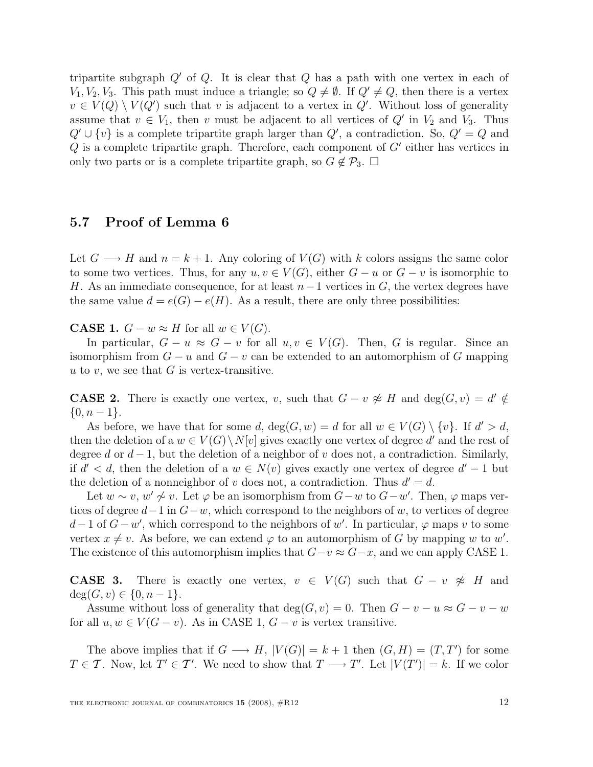tripartite subgraph  $Q'$  of  $Q$ . It is clear that  $Q$  has a path with one vertex in each of  $V_1, V_2, V_3$ . This path must induce a triangle; so  $Q \neq \emptyset$ . If  $Q' \neq Q$ , then there is a vertex  $v \in V(Q) \setminus V(Q')$  such that v is adjacent to a vertex in Q'. Without loss of generality assume that  $v \in V_1$ , then v must be adjacent to all vertices of  $Q'$  in  $V_2$  and  $V_3$ . Thus  $Q' \cup \{v\}$  is a complete tripartite graph larger than  $Q'$ , a contradiction. So,  $Q' = Q$  and  $Q$  is a complete tripartite graph. Therefore, each component of  $G'$  either has vertices in only two parts or is a complete tripartite graph, so  $G \notin \mathcal{P}_3$ .  $\Box$ 

### 5.7 Proof of Lemma 6

Let  $G \longrightarrow H$  and  $n = k + 1$ . Any coloring of  $V(G)$  with k colors assigns the same color to some two vertices. Thus, for any  $u, v \in V(G)$ , either  $G - u$  or  $G - v$  is isomorphic to H. As an immediate consequence, for at least  $n-1$  vertices in G, the vertex degrees have the same value  $d = e(G) - e(H)$ . As a result, there are only three possibilities:

**CASE 1.**  $G - w \approx H$  for all  $w \in V(G)$ .

In particular,  $G - u \approx G - v$  for all  $u, v \in V(G)$ . Then, G is regular. Since an isomorphism from  $G - u$  and  $G - v$  can be extended to an automorphism of G mapping u to v, we see that  $G$  is vertex-transitive.

**CASE 2.** There is exactly one vertex, v, such that  $G - v \not\approx H$  and  $\deg(G, v) = d' \notin$  $\{0, n-1\}.$ 

As before, we have that for some d,  $deg(G, w) = d$  for all  $w \in V(G) \setminus \{v\}$ . If  $d' > d$ , then the deletion of a  $w \in V(G) \setminus N[v]$  gives exactly one vertex of degree d' and the rest of degree d or  $d-1$ , but the deletion of a neighbor of v does not, a contradiction. Similarly, if  $d' < d$ , then the deletion of a  $w \in N(v)$  gives exactly one vertex of degree  $d' - 1$  but the deletion of a nonneighbor of v does not, a contradiction. Thus  $d' = d$ .

Let  $w \sim v$ ,  $w' \not\sim v$ . Let  $\varphi$  be an isomorphism from  $G-w$  to  $G-w'$ . Then,  $\varphi$  maps vertices of degree  $d-1$  in  $G-w$ , which correspond to the neighbors of w, to vertices of degree  $d-1$  of  $\widetilde{G}-w'$ , which correspond to the neighbors of w'. In particular,  $\varphi$  maps v to some vertex  $x \neq v$ . As before, we can extend  $\varphi$  to an automorphism of G by mapping w to w'. The existence of this automorphism implies that  $G-v \approx G-x$ , and we can apply CASE 1.

**CASE 3.** There is exactly one vertex,  $v \in V(G)$  such that  $G - v \not\approx H$  and  $deg(G, v) \in \{0, n-1\}.$ 

Assume without loss of generality that  $deg(G, v) = 0$ . Then  $G - v - u \approx G - v - w$ for all  $u, w \in V(G - v)$ . As in CASE 1,  $G - v$  is vertex transitive.

The above implies that if  $G \longrightarrow H$ ,  $|V(G)| = k + 1$  then  $(G, H) = (T, T')$  for some  $T \in \mathcal{T}$ . Now, let  $T' \in \mathcal{T}'$ . We need to show that  $T \longrightarrow T'$ . Let  $|V(T')| = k$ . If we color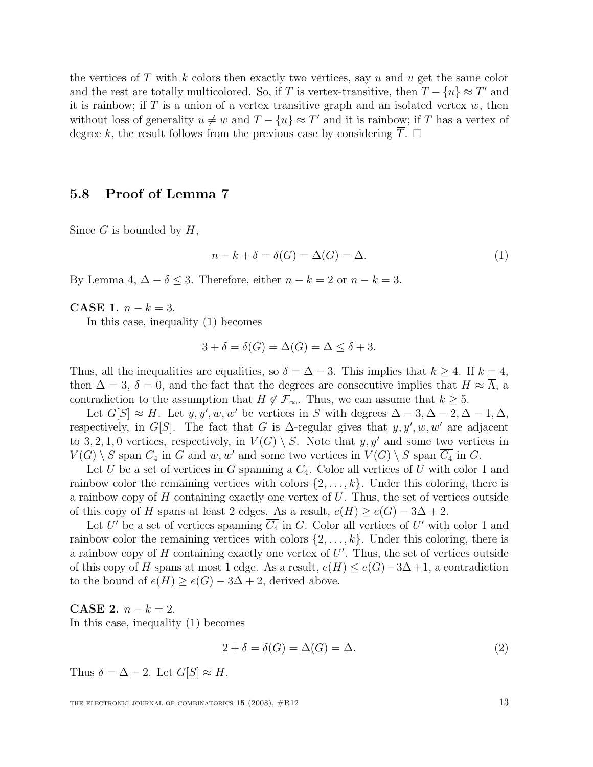the vertices of T with k colors then exactly two vertices, say u and v get the same color and the rest are totally multicolored. So, if T is vertex-transitive, then  $T - \{u\} \approx T'$  and it is rainbow; if  $T$  is a union of a vertex transitive graph and an isolated vertex  $w$ , then without loss of generality  $u \neq w$  and  $T - \{u\} \approx T'$  and it is rainbow; if T has a vertex of degree k, the result follows from the previous case by considering  $\overline{T}$ .  $\Box$ 

#### 5.8 Proof of Lemma 7

Since  $G$  is bounded by  $H$ ,

$$
n - k + \delta = \delta(G) = \Delta(G) = \Delta.
$$
\n(1)

By Lemma 4,  $\Delta - \delta \leq 3$ . Therefore, either  $n - k = 2$  or  $n - k = 3$ .

**CASE 1.**  $n - k = 3$ .

In this case, inequality (1) becomes

$$
3 + \delta = \delta(G) = \Delta(G) = \Delta \le \delta + 3.
$$

Thus, all the inequalities are equalities, so  $\delta = \Delta - 3$ . This implies that  $k \geq 4$ . If  $k = 4$ , then  $\Delta = 3$ ,  $\delta = 0$ , and the fact that the degrees are consecutive implies that  $H \approx \Lambda$ , a contradiction to the assumption that  $H \notin \mathcal{F}_{\infty}$ . Thus, we can assume that  $k \geq 5$ .

Let  $G[S] \approx H$ . Let  $y, y', w, w'$  be vertices in S with degrees  $\Delta - 3, \Delta - 2, \Delta - 1, \Delta$ , respectively, in G[S]. The fact that G is  $\Delta$ -regular gives that  $y, y', w, w'$  are adjacent to 3, 2, 1, 0 vertices, respectively, in  $V(G) \setminus S$ . Note that y, y' and some two vertices in  $V(G) \setminus S$  span  $C_4$  in G and w, w' and some two vertices in  $V(G) \setminus S$  span  $\overline{C_4}$  in G.

Let U be a set of vertices in G spanning a  $C_4$ . Color all vertices of U with color 1 and rainbow color the remaining vertices with colors  $\{2, \ldots, k\}$ . Under this coloring, there is a rainbow copy of H containing exactly one vertex of  $U$ . Thus, the set of vertices outside of this copy of H spans at least 2 edges. As a result,  $e(H) \ge e(G) - 3\Delta + 2$ .

Let U' be a set of vertices spanning  $\overline{C_4}$  in G. Color all vertices of U' with color 1 and rainbow color the remaining vertices with colors  $\{2, \ldots, k\}$ . Under this coloring, there is a rainbow copy of  $H$  containing exactly one vertex of  $U'$ . Thus, the set of vertices outside of this copy of H spans at most 1 edge. As a result,  $e(H) \le e(G) - 3\Delta + 1$ , a contradiction to the bound of  $e(H) \ge e(G) - 3\Delta + 2$ , derived above.

**CASE 2.**  $n - k = 2$ . In this case, inequality (1) becomes

$$
2 + \delta = \delta(G) = \Delta(G) = \Delta.
$$
\n(2)

Thus  $\delta = \Delta - 2$ . Let  $G[S] \approx H$ .

THE ELECTRONIC JOURNAL OF COMBINATORICS  $15$  (2008),  $\#R12$  13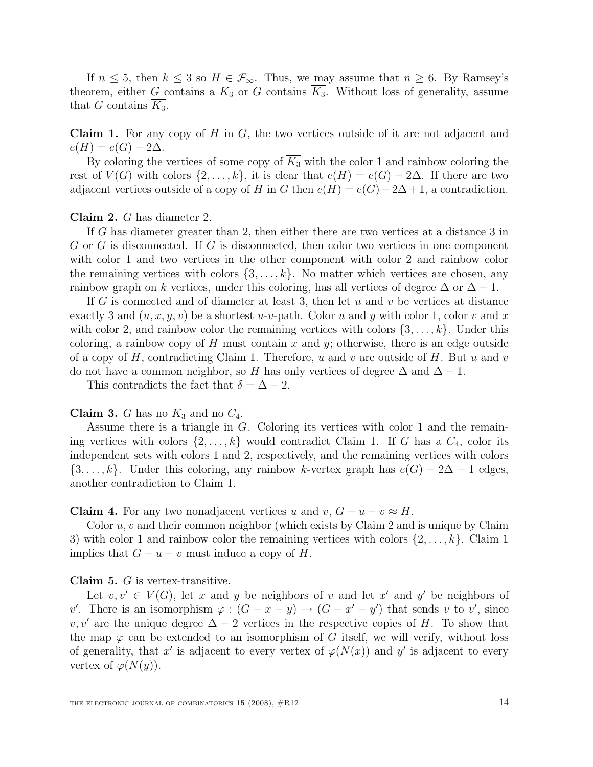If  $n \leq 5$ , then  $k \leq 3$  so  $H \in \mathcal{F}_{\infty}$ . Thus, we may assume that  $n \geq 6$ . By Ramsey's theorem, either G contains a  $K_3$  or G contains  $\overline{K_3}$ . Without loss of generality, assume that G contains  $K_3$ .

**Claim 1.** For any copy of  $H$  in  $G$ , the two vertices outside of it are not adjacent and  $e(H) = e(G) - 2\Delta$ .

By coloring the vertices of some copy of  $\overline{K_3}$  with the color 1 and rainbow coloring the rest of  $V(G)$  with colors  $\{2,\ldots,k\}$ , it is clear that  $e(H) = e(G) - 2\Delta$ . If there are two adjacent vertices outside of a copy of H in G then  $e(H) = e(G) - 2\Delta + 1$ , a contradiction.

Claim 2. G has diameter 2.

If G has diameter greater than 2, then either there are two vertices at a distance 3 in G or G is disconnected. If G is disconnected, then color two vertices in one component with color 1 and two vertices in the other component with color 2 and rainbow color the remaining vertices with colors  $\{3, \ldots, k\}$ . No matter which vertices are chosen, any rainbow graph on k vertices, under this coloring, has all vertices of degree  $\Delta$  or  $\Delta - 1$ .

If G is connected and of diameter at least 3, then let u and v be vertices at distance exactly 3 and  $(u, x, y, v)$  be a shortest u-v-path. Color u and y with color 1, color v and x with color 2, and rainbow color the remaining vertices with colors  $\{3, \ldots, k\}$ . Under this coloring, a rainbow copy of H must contain x and y; otherwise, there is an edge outside of a copy of H, contradicting Claim 1. Therefore, u and v are outside of H. But u and v do not have a common neighbor, so H has only vertices of degree  $\Delta$  and  $\Delta - 1$ .

This contradicts the fact that  $\delta = \Delta - 2$ .

**Claim 3.** G has no  $K_3$  and no  $C_4$ .

Assume there is a triangle in G. Coloring its vertices with color 1 and the remaining vertices with colors  $\{2, \ldots, k\}$  would contradict Claim 1. If G has a  $C_4$ , color its independent sets with colors 1 and 2, respectively, and the remaining vertices with colors  $\{3,\ldots,k\}$ . Under this coloring, any rainbow k-vertex graph has  $e(G) - 2\Delta + 1$  edges, another contradiction to Claim 1.

**Claim 4.** For any two nonadjacent vertices u and v,  $G - u - v \approx H$ .

Color  $u, v$  and their common neighbor (which exists by Claim 2 and is unique by Claim 3) with color 1 and rainbow color the remaining vertices with colors  $\{2,\ldots,k\}$ . Claim 1 implies that  $G - u - v$  must induce a copy of H.

#### Claim 5. G is vertex-transitive.

Let  $v, v' \in V(G)$ , let x and y be neighbors of v and let x' and y' be neighbors of v'. There is an isomorphism  $\varphi : (G - x - y) \to (G - x' - y')$  that sends v to v', since v, v' are the unique degree  $\Delta - 2$  vertices in the respective copies of H. To show that the map  $\varphi$  can be extended to an isomorphism of G itself, we will verify, without loss of generality, that x' is adjacent to every vertex of  $\varphi(N(x))$  and y' is adjacent to every vertex of  $\varphi(N(y))$ .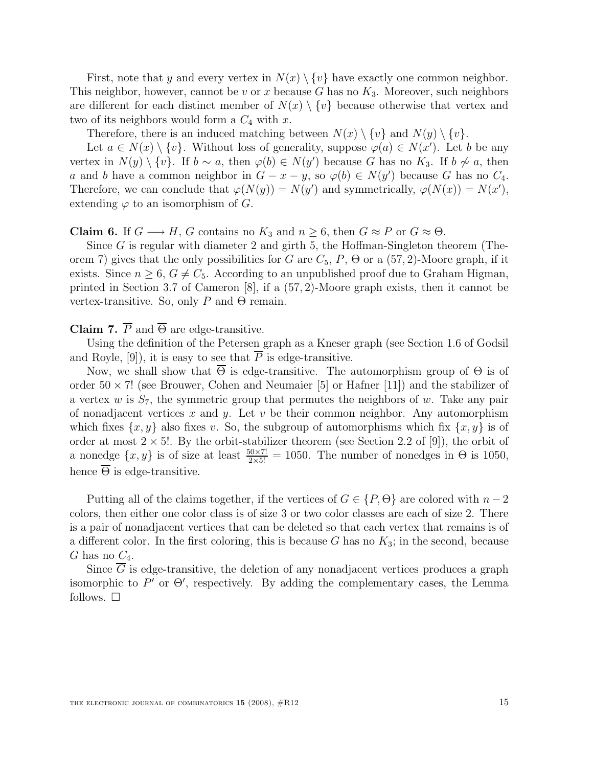First, note that y and every vertex in  $N(x) \setminus \{v\}$  have exactly one common neighbor. This neighbor, however, cannot be v or x because G has no  $K_3$ . Moreover, such neighbors are different for each distinct member of  $N(x) \setminus \{v\}$  because otherwise that vertex and two of its neighbors would form a  $C_4$  with x.

Therefore, there is an induced matching between  $N(x) \setminus \{v\}$  and  $N(y) \setminus \{v\}$ .

Let  $a \in N(x) \setminus \{v\}$ . Without loss of generality, suppose  $\varphi(a) \in N(x')$ . Let b be any vertex in  $N(y) \setminus \{v\}$ . If  $b \sim a$ , then  $\varphi(b) \in N(y')$  because G has no  $K_3$ . If  $b \not\sim a$ , then a and b have a common neighbor in  $G - x - y$ , so  $\varphi(b) \in N(y')$  because G has no  $C_4$ . Therefore, we can conclude that  $\varphi(N(y)) = N(y')$  and symmetrically,  $\varphi(N(x)) = N(x')$ , extending  $\varphi$  to an isomorphism of G.

#### **Claim 6.** If  $G \longrightarrow H$ , G contains no  $K_3$  and  $n \geq 6$ , then  $G \approx P$  or  $G \approx \Theta$ .

Since  $G$  is regular with diameter 2 and girth 5, the Hoffman-Singleton theorem (Theorem 7) gives that the only possibilities for G are  $C_5$ ,  $P$ ,  $\Theta$  or a (57, 2)-Moore graph, if it exists. Since  $n \geq 6$ ,  $G \neq C_5$ . According to an unpublished proof due to Graham Higman, printed in Section 3.7 of Cameron [8], if a (57, 2)-Moore graph exists, then it cannot be vertex-transitive. So, only P and  $\Theta$  remain.

Claim 7.  $\overline{P}$  and  $\overline{\Theta}$  are edge-transitive.

Using the definition of the Petersen graph as a Kneser graph (see Section 1.6 of Godsil and Royle, [9]), it is easy to see that  $\overline{P}$  is edge-transitive.

Now, we shall show that  $\Theta$  is edge-transitive. The automorphism group of  $\Theta$  is of order  $50 \times 7!$  (see Brouwer, Cohen and Neumaier [5] or Hafner [11]) and the stabilizer of a vertex w is  $S_7$ , the symmetric group that permutes the neighbors of w. Take any pair of nonadjacent vertices  $x$  and  $y$ . Let  $v$  be their common neighbor. Any automorphism which fixes  $\{x, y\}$  also fixes v. So, the subgroup of automorphisms which fix  $\{x, y\}$  is of order at most  $2 \times 5!$ . By the orbit-stabilizer theorem (see Section 2.2 of [9]), the orbit of a nonedge  $\{x, y\}$  is of size at least  $\frac{50 \times 7!}{2 \times 5!} = 1050$ . The number of nonedges in  $\Theta$  is 1050, hence  $\overline{\Theta}$  is edge-transitive.

Putting all of the claims together, if the vertices of  $G \in \{P, \Theta\}$  are colored with  $n-2$ colors, then either one color class is of size 3 or two color classes are each of size 2. There is a pair of nonadjacent vertices that can be deleted so that each vertex that remains is of a different color. In the first coloring, this is because  $G$  has no  $K_3$ ; in the second, because G has no  $C_4$ .

Since  $\overline{G}$  is edge-transitive, the deletion of any nonadjacent vertices produces a graph isomorphic to  $P'$  or  $\Theta'$ , respectively. By adding the complementary cases, the Lemma follows.  $\square$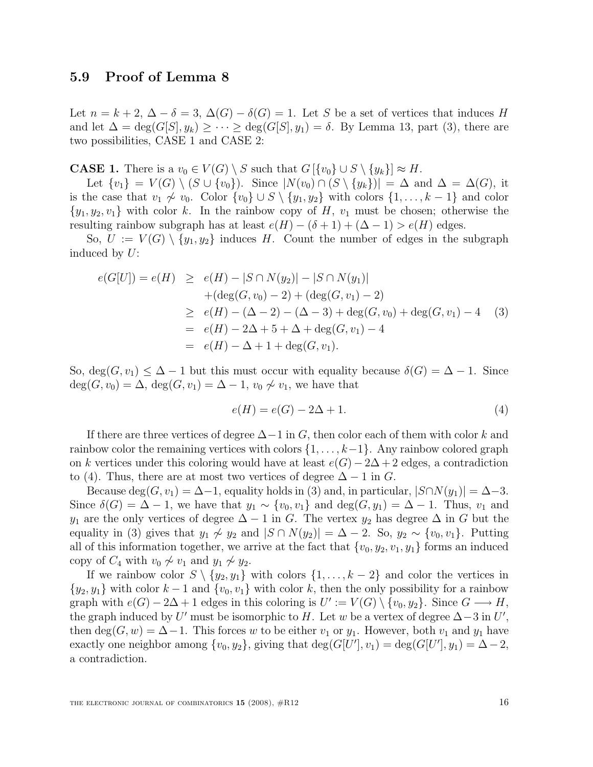### 5.9 Proof of Lemma 8

Let  $n = k + 2$ ,  $\Delta - \delta = 3$ ,  $\Delta(G) - \delta(G) = 1$ . Let S be a set of vertices that induces H and let  $\Delta = \deg(G[S], y_k) \geq \cdots \geq \deg(G[S], y_1) = \delta$ . By Lemma 13, part (3), there are two possibilities, CASE 1 and CASE 2:

**CASE 1.** There is a  $v_0 \in V(G) \setminus S$  such that  $G[\{v_0\} \cup S \setminus \{y_k\}] \approx H$ .

Let  $\{v_1\} = V(G) \setminus (S \cup \{v_0\})$ . Since  $|N(v_0) \cap (S \setminus \{y_k\})| = \Delta$  and  $\Delta = \Delta(G)$ , it is the case that  $v_1 \not\sim v_0$ . Color  $\{v_0\} \cup S \setminus \{y_1, y_2\}$  with colors  $\{1, \ldots, k-1\}$  and color  $\{y_1, y_2, v_1\}$  with color k. In the rainbow copy of H,  $v_1$  must be chosen; otherwise the resulting rainbow subgraph has at least  $e(H) - (\delta + 1) + (\Delta - 1) > e(H)$  edges.

So,  $U := V(G) \setminus \{y_1, y_2\}$  induces H. Count the number of edges in the subgraph induced by U:

$$
e(G[U]) = e(H) \ge e(H) - |S \cap N(y_2)| - |S \cap N(y_1)|
$$
  
+  $(deg(G, v_0) - 2) + (deg(G, v_1) - 2)$   
 $\ge e(H) - (\Delta - 2) - (\Delta - 3) + deg(G, v_0) + deg(G, v_1) - 4$   
=  $e(H) - 2\Delta + 5 + \Delta + deg(G, v_1) - 4$   
=  $e(H) - \Delta + 1 + deg(G, v_1).$  (3)

So,  $deg(G, v_1) \leq \Delta - 1$  but this must occur with equality because  $\delta(G) = \Delta - 1$ . Since  $deg(G, v_0) = \Delta$ ,  $deg(G, v_1) = \Delta - 1$ ,  $v_0 \not\sim v_1$ , we have that

$$
e(H) = e(G) - 2\Delta + 1.
$$
\n<sup>(4)</sup>

If there are three vertices of degree  $\Delta-1$  in G, then color each of them with color k and rainbow color the remaining vertices with colors  $\{1, \ldots, k-1\}$ . Any rainbow colored graph on k vertices under this coloring would have at least  $e(G) - 2\Delta + 2$  edges, a contradiction to (4). Thus, there are at most two vertices of degree  $\Delta - 1$  in G.

Because deg( $G, v_1$ ) =  $\Delta - 1$ , equality holds in (3) and, in particular,  $|S \cap N(y_1)| = \Delta - 3$ . Since  $\delta(G) = \Delta - 1$ , we have that  $y_1 \sim \{v_0, v_1\}$  and  $\deg(G, y_1) = \Delta - 1$ . Thus,  $v_1$  and y<sub>1</sub> are the only vertices of degree  $\Delta - 1$  in G. The vertex y<sub>2</sub> has degree  $\Delta$  in G but the equality in (3) gives that  $y_1 \not\sim y_2$  and  $|S \cap N(y_2)| = \Delta - 2$ . So,  $y_2 \sim \{v_0, v_1\}$ . Putting all of this information together, we arrive at the fact that  $\{v_0, y_2, v_1, y_1\}$  forms an induced copy of  $C_4$  with  $v_0 \not\sim v_1$  and  $y_1 \not\sim y_2$ .

If we rainbow color  $S \setminus \{y_2, y_1\}$  with colors  $\{1, \ldots, k-2\}$  and color the vertices in  $\{y_2, y_1\}$  with color  $k-1$  and  $\{v_0, v_1\}$  with color k, then the only possibility for a rainbow graph with  $e(G) - 2\Delta + 1$  edges in this coloring is  $U' := V(G) \setminus \{v_0, y_2\}$ . Since  $G \longrightarrow H$ , the graph induced by U' must be isomorphic to H. Let w be a vertex of degree  $\Delta - 3$  in U', then deg(G, w) =  $\Delta - 1$ . This forces w to be either  $v_1$  or  $y_1$ . However, both  $v_1$  and  $y_1$  have exactly one neighbor among  $\{v_0, y_2\}$ , giving that  $\deg(G[U'], v_1) = \deg(G[U'], y_1) = \Delta - 2$ , a contradiction.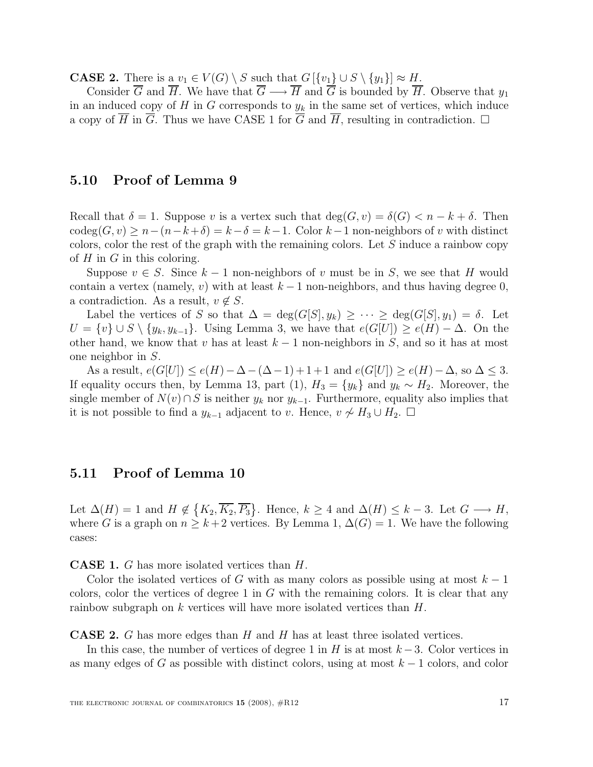**CASE 2.** There is a  $v_1 \in V(G) \setminus S$  such that  $G[\{v_1\} \cup S \setminus \{y_1\}] \approx H$ .

Consider  $\overline{G}$  and  $\overline{H}$ . We have that  $\overline{G} \longrightarrow \overline{H}$  and  $\overline{G}$  is bounded by  $\overline{H}$ . Observe that  $y_1$ in an induced copy of  $H$  in  $G$  corresponds to  $y_k$  in the same set of vertices, which induce a copy of  $\overline{H}$  in  $\overline{G}$ . Thus we have CASE 1 for  $\overline{G}$  and  $\overline{H}$ , resulting in contradiction.  $\Box$ 

### 5.10 Proof of Lemma 9

Recall that  $\delta = 1$ . Suppose v is a vertex such that  $\deg(G, v) = \delta(G) < n - k + \delta$ . Then  $\operatorname{codeg}(G, v) \geq n - (n - k + \delta) = k - \delta = k - 1$ . Color  $k - 1$  non-neighbors of v with distinct colors, color the rest of the graph with the remaining colors. Let S induce a rainbow copy of  $H$  in  $G$  in this coloring.

Suppose  $v \in S$ . Since  $k-1$  non-neighbors of v must be in S, we see that H would contain a vertex (namely, v) with at least  $k-1$  non-neighbors, and thus having degree 0, a contradiction. As a result,  $v \notin S$ .

Label the vertices of S so that  $\Delta = \deg(G[S], y_k) \geq \cdots \geq \deg(G[S], y_1) = \delta$ . Let  $U = \{v\} \cup S \setminus \{y_k, y_{k-1}\}.$  Using Lemma 3, we have that  $e(G[U]) \ge e(H) - \Delta$ . On the other hand, we know that v has at least  $k - 1$  non-neighbors in S, and so it has at most one neighbor in S.

As a result,  $e(G[U]) \leq e(H) - \Delta - (\Delta - 1) + 1 + 1$  and  $e(G[U]) \geq e(H) - \Delta$ , so  $\Delta \leq 3$ . If equality occurs then, by Lemma 13, part (1),  $H_3 = \{y_k\}$  and  $y_k \sim H_2$ . Moreover, the single member of  $N(v) \cap S$  is neither  $y_k$  nor  $y_{k-1}$ . Furthermore, equality also implies that it is not possible to find a  $y_{k-1}$  adjacent to v. Hence,  $v \nsim H_3 \cup H_2$ . □

### 5.11 Proof of Lemma 10

Let  $\Delta(H) = 1$  and  $H \notin \{K_2, \overline{K_2}, \overline{P_3}\}$ . Hence,  $k \geq 4$  and  $\Delta(H) \leq k-3$ . Let  $G \longrightarrow H$ , where G is a graph on  $n \geq k+2$  vertices. By Lemma 1,  $\Delta(G) = 1$ . We have the following cases:

CASE 1. G has more isolated vertices than H.

Color the isolated vertices of G with as many colors as possible using at most  $k-1$ colors, color the vertices of degree 1 in  $G$  with the remaining colors. It is clear that any rainbow subgraph on k vertices will have more isolated vertices than H.

**CASE 2.** G has more edges than H and H has at least three isolated vertices.

In this case, the number of vertices of degree 1 in H is at most  $k-3$ . Color vertices in as many edges of G as possible with distinct colors, using at most  $k - 1$  colors, and color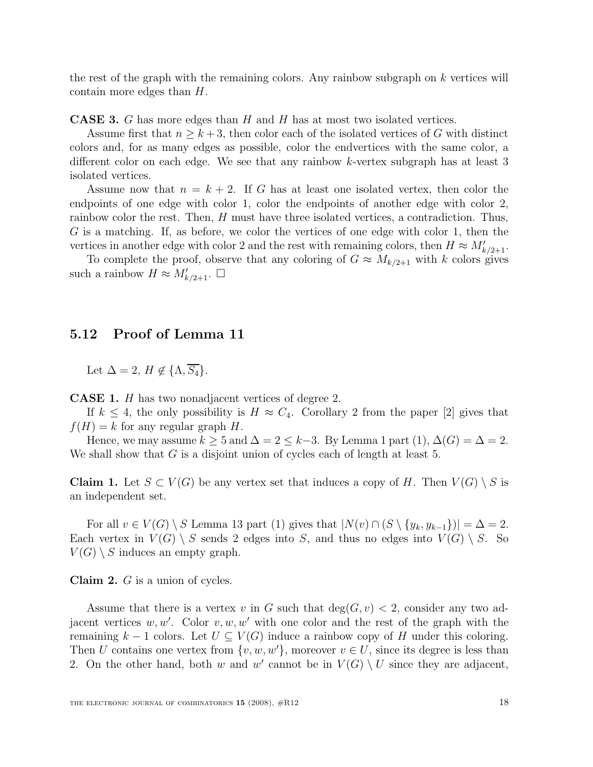the rest of the graph with the remaining colors. Any rainbow subgraph on  $k$  vertices will contain more edges than H.

**CASE 3.** G has more edges than H and H has at most two isolated vertices.

Assume first that  $n \geq k+3$ , then color each of the isolated vertices of G with distinct colors and, for as many edges as possible, color the endvertices with the same color, a different color on each edge. We see that any rainbow k-vertex subgraph has at least 3 isolated vertices.

Assume now that  $n = k + 2$ . If G has at least one isolated vertex, then color the endpoints of one edge with color 1, color the endpoints of another edge with color 2, rainbow color the rest. Then, H must have three isolated vertices, a contradiction. Thus, G is a matching. If, as before, we color the vertices of one edge with color 1, then the vertices in another edge with color 2 and the rest with remaining colors, then  $H \approx M_{k/2+1}'$ .

To complete the proof, observe that any coloring of  $G \approx M_{k/2+1}$  with k colors gives such a rainbow  $H \approx M'_{k/2+1}$ .  $\Box$ 

### 5.12 Proof of Lemma 11

Let  $\Delta = 2$ ,  $H \notin {\Lambda, \overline{S_4}}$ .

CASE 1. H has two nonadjacent vertices of degree 2.

If  $k \leq 4$ , the only possibility is  $H \approx C_4$ . Corollary 2 from the paper [2] gives that  $f(H) = k$  for any regular graph H.

Hence, we may assume  $k \geq 5$  and  $\Delta = 2 \leq k-3$ . By Lemma 1 part  $(1), \Delta(G) = \Delta = 2$ . We shall show that  $G$  is a disjoint union of cycles each of length at least 5.

**Claim 1.** Let  $S \subset V(G)$  be any vertex set that induces a copy of H. Then  $V(G) \setminus S$  is an independent set.

For all  $v \in V(G) \setminus S$  Lemma 13 part (1) gives that  $|N(v) \cap (S \setminus \{y_k, y_{k-1}\})| = \Delta = 2$ . Each vertex in  $V(G) \setminus S$  sends 2 edges into S, and thus no edges into  $V(G) \setminus S$ . So  $V(G) \setminus S$  induces an empty graph.

Claim 2. G is a union of cycles.

Assume that there is a vertex v in G such that  $deg(G, v) < 2$ , consider any two adjacent vertices  $w, w'$ . Color  $v, w, w'$  with one color and the rest of the graph with the remaining k – 1 colors. Let  $U \subseteq V(G)$  induce a rainbow copy of H under this coloring. Then U contains one vertex from  $\{v, w, w'\}$ , moreover  $v \in U$ , since its degree is less than 2. On the other hand, both w and w' cannot be in  $V(G) \setminus U$  since they are adjacent,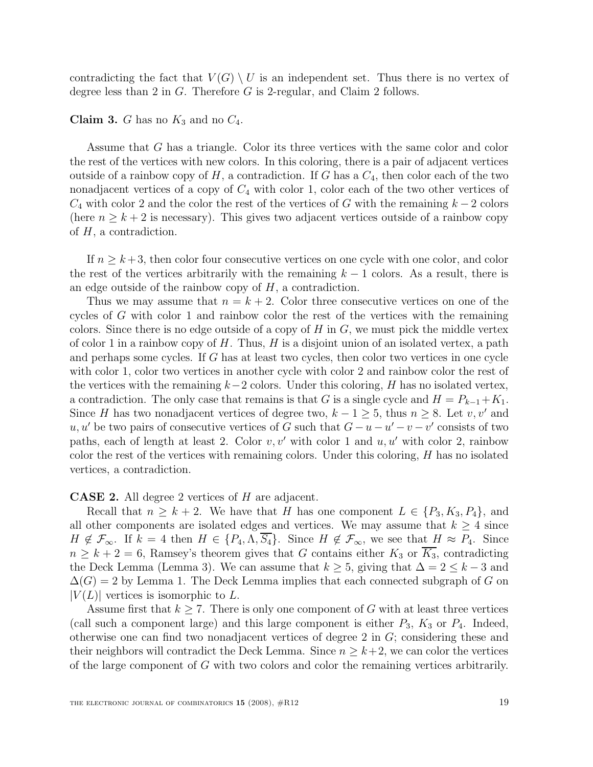contradicting the fact that  $V(G) \setminus U$  is an independent set. Thus there is no vertex of degree less than 2 in G. Therefore G is 2-regular, and Claim 2 follows.

**Claim 3.** G has no  $K_3$  and no  $C_4$ .

Assume that G has a triangle. Color its three vertices with the same color and color the rest of the vertices with new colors. In this coloring, there is a pair of adjacent vertices outside of a rainbow copy of  $H$ , a contradiction. If G has a  $C_4$ , then color each of the two nonadjacent vertices of a copy of  $C_4$  with color 1, color each of the two other vertices of  $C_4$  with color 2 and the color the rest of the vertices of G with the remaining  $k-2$  colors (here  $n \geq k+2$  is necessary). This gives two adjacent vertices outside of a rainbow copy of  $H$ , a contradiction.

If  $n \geq k+3$ , then color four consecutive vertices on one cycle with one color, and color the rest of the vertices arbitrarily with the remaining  $k - 1$  colors. As a result, there is an edge outside of the rainbow copy of  $H$ , a contradiction.

Thus we may assume that  $n = k + 2$ . Color three consecutive vertices on one of the cycles of G with color 1 and rainbow color the rest of the vertices with the remaining colors. Since there is no edge outside of a copy of  $H$  in  $G$ , we must pick the middle vertex of color 1 in a rainbow copy of  $H$ . Thus,  $H$  is a disjoint union of an isolated vertex, a path and perhaps some cycles. If G has at least two cycles, then color two vertices in one cycle with color 1, color two vertices in another cycle with color 2 and rainbow color the rest of the vertices with the remaining  $k-2$  colors. Under this coloring, H has no isolated vertex, a contradiction. The only case that remains is that G is a single cycle and  $H = P_{k-1} + K_1$ . Since H has two nonadjacent vertices of degree two,  $k - 1 \geq 5$ , thus  $n \geq 8$ . Let v, v' and u, u' be two pairs of consecutive vertices of G such that  $G - u - u' - v - v'$  consists of two paths, each of length at least 2. Color  $v, v'$  with color 1 and  $u, u'$  with color 2, rainbow color the rest of the vertices with remaining colors. Under this coloring, H has no isolated vertices, a contradiction.

CASE 2. All degree 2 vertices of H are adjacent.

Recall that  $n \geq k+2$ . We have that H has one component  $L \in \{P_3, K_3, P_4\}$ , and all other components are isolated edges and vertices. We may assume that  $k \geq 4$  since  $H \notin \mathcal{F}_{\infty}$ . If  $k = 4$  then  $H \in \{P_4, \Lambda, S_4\}$ . Since  $H \notin \mathcal{F}_{\infty}$ , we see that  $H \approx P_4$ . Since  $n \geq k+2=6$ , Ramsey's theorem gives that G contains either  $K_3$  or  $\overline{K_3}$ , contradicting the Deck Lemma (Lemma 3). We can assume that  $k \geq 5$ , giving that  $\Delta = 2 \leq k-3$  and  $\Delta(G) = 2$  by Lemma 1. The Deck Lemma implies that each connected subgraph of G on  $|V(L)|$  vertices is isomorphic to L.

Assume first that  $k \geq 7$ . There is only one component of G with at least three vertices (call such a component large) and this large component is either  $P_3$ ,  $K_3$  or  $P_4$ . Indeed, otherwise one can find two nonadjacent vertices of degree 2 in G; considering these and their neighbors will contradict the Deck Lemma. Since  $n \geq k+2$ , we can color the vertices of the large component of G with two colors and color the remaining vertices arbitrarily.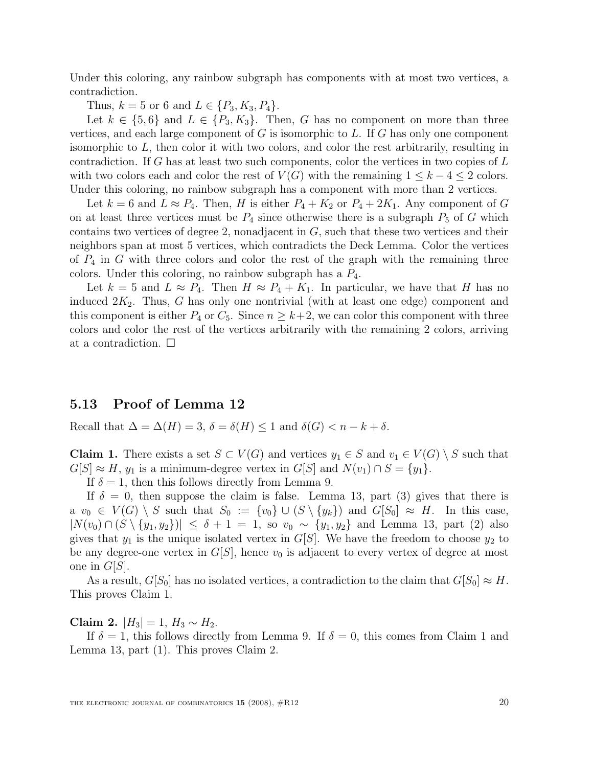Under this coloring, any rainbow subgraph has components with at most two vertices, a contradiction.

Thus,  $k = 5$  or 6 and  $L \in \{P_3, K_3, P_4\}.$ 

Let  $k \in \{5, 6\}$  and  $L \in \{P_3, K_3\}$ . Then, G has no component on more than three vertices, and each large component of  $G$  is isomorphic to  $L$ . If  $G$  has only one component isomorphic to L, then color it with two colors, and color the rest arbitrarily, resulting in contradiction. If G has at least two such components, color the vertices in two copies of  $L$ with two colors each and color the rest of  $V(G)$  with the remaining  $1 \leq k-4 \leq 2$  colors. Under this coloring, no rainbow subgraph has a component with more than 2 vertices.

Let  $k = 6$  and  $L \approx P_4$ . Then, H is either  $P_4 + K_2$  or  $P_4 + 2K_1$ . Any component of G on at least three vertices must be  $P_4$  since otherwise there is a subgraph  $P_5$  of G which contains two vertices of degree 2, nonadjacent in G, such that these two vertices and their neighbors span at most 5 vertices, which contradicts the Deck Lemma. Color the vertices of  $P_4$  in G with three colors and color the rest of the graph with the remaining three colors. Under this coloring, no rainbow subgraph has a  $P_4$ .

Let  $k = 5$  and  $L \approx P_4$ . Then  $H \approx P_4 + K_1$ . In particular, we have that H has no induced  $2K_2$ . Thus, G has only one nontrivial (with at least one edge) component and this component is either  $P_4$  or  $C_5$ . Since  $n \geq k+2$ , we can color this component with three colors and color the rest of the vertices arbitrarily with the remaining 2 colors, arriving at a contradiction.  $\Box$ 

### 5.13 Proof of Lemma 12

Recall that  $\Delta = \Delta(H) = 3$ ,  $\delta = \delta(H) \leq 1$  and  $\delta(G) < n - k + \delta$ .

**Claim 1.** There exists a set  $S \subset V(G)$  and vertices  $y_1 \in S$  and  $v_1 \in V(G) \setminus S$  such that  $G[S] \approx H$ ,  $y_1$  is a minimum-degree vertex in  $G[S]$  and  $N(v_1) \cap S = \{y_1\}.$ 

If  $\delta = 1$ , then this follows directly from Lemma 9.

If  $\delta = 0$ , then suppose the claim is false. Lemma 13, part (3) gives that there is a  $v_0 \in V(G) \setminus S$  such that  $S_0 := \{v_0\} \cup (S \setminus \{y_k\})$  and  $G[S_0] \approx H$ . In this case,  $|N(v_0) \cap (S \setminus \{y_1, y_2\})| \leq \delta + 1 = 1$ , so  $v_0 \sim \{y_1, y_2\}$  and Lemma 13, part (2) also gives that  $y_1$  is the unique isolated vertex in  $G[S]$ . We have the freedom to choose  $y_2$  to be any degree-one vertex in  $G[S]$ , hence  $v_0$  is adjacent to every vertex of degree at most one in  $G[S]$ .

As a result,  $G[S_0]$  has no isolated vertices, a contradiction to the claim that  $G[S_0] \approx H$ . This proves Claim 1.

Claim 2.  $|H_3| = 1, H_3 ∼ H_2$ .

If  $\delta = 1$ , this follows directly from Lemma 9. If  $\delta = 0$ , this comes from Claim 1 and Lemma 13, part (1). This proves Claim 2.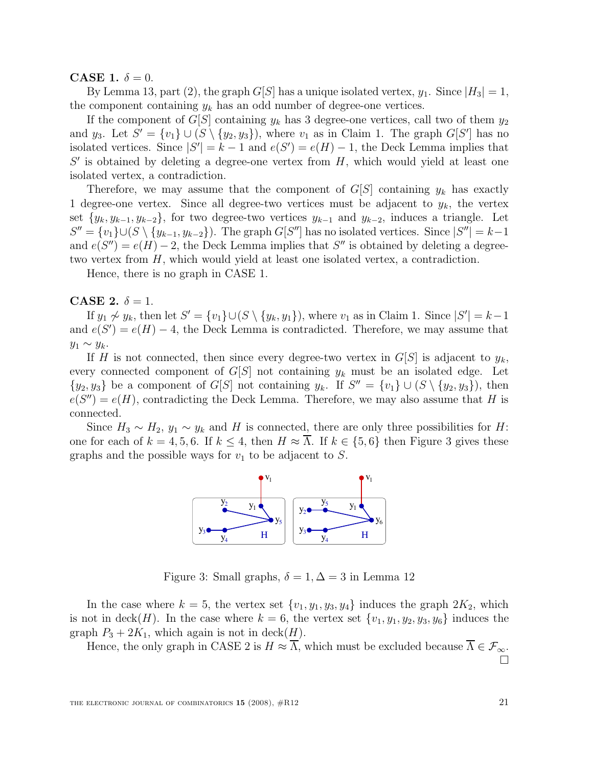CASE 1.  $\delta = 0$ .

By Lemma 13, part (2), the graph  $G[S]$  has a unique isolated vertex,  $y_1$ . Since  $|H_3| = 1$ , the component containing  $y_k$  has an odd number of degree-one vertices.

If the component of  $G[S]$  containing  $y_k$  has 3 degree-one vertices, call two of them  $y_2$ and  $y_3$ . Let  $S' = \{v_1\} \cup (S \setminus \{y_2, y_3\})$ , where  $v_1$  as in Claim 1. The graph  $G[S']$  has no isolated vertices. Since  $|S'| = k - 1$  and  $e(S') = e(H) - 1$ , the Deck Lemma implies that  $S'$  is obtained by deleting a degree-one vertex from  $H$ , which would yield at least one isolated vertex, a contradiction.

Therefore, we may assume that the component of  $G[S]$  containing  $y_k$  has exactly 1 degree-one vertex. Since all degree-two vertices must be adjacent to  $y_k$ , the vertex set  $\{y_k, y_{k-1}, y_{k-2}\}$ , for two degree-two vertices  $y_{k-1}$  and  $y_{k-2}$ , induces a triangle. Let  $S'' = \{v_1\} \cup (S \setminus \{y_{k-1}, y_{k-2}\})$ . The graph  $G[S'']$  has no isolated vertices. Since  $|S''| = k-1$ and  $e(S'') = e(H) - 2$ , the Deck Lemma implies that S'' is obtained by deleting a degreetwo vertex from H, which would yield at least one isolated vertex, a contradiction.

Hence, there is no graph in CASE 1.

CASE 2.  $\delta = 1$ .

If  $y_1 \not\sim y_k$ , then let  $S' = \{v_1\} \cup (S \setminus \{y_k, y_1\})$ , where  $v_1$  as in Claim 1. Since  $|S'| = k-1$ and  $e(S') = e(H) - 4$ , the Deck Lemma is contradicted. Therefore, we may assume that  $y_1 \sim y_k$ .

If H is not connected, then since every degree-two vertex in  $G[S]$  is adjacent to  $y_k$ , every connected component of  $G[S]$  not containing  $y_k$  must be an isolated edge. Let  $\{y_2, y_3\}$  be a component of  $G[S]$  not containing  $y_k$ . If  $S'' = \{v_1\} \cup (S \setminus \{y_2, y_3\})$ , then  $e(S'') = e(H)$ , contradicting the Deck Lemma. Therefore, we may also assume that H is connected.

Since  $H_3 \sim H_2$ ,  $y_1 \sim y_k$  and H is connected, there are only three possibilities for H: one for each of  $k = 4, 5, 6$ . If  $k \leq 4$ , then  $H \approx \overline{\Lambda}$ . If  $k \in \{5, 6\}$  then Figure 3 gives these graphs and the possible ways for  $v_1$  to be adjacent to S.



Figure 3: Small graphs,  $\delta = 1, \Delta = 3$  in Lemma 12

In the case where  $k = 5$ , the vertex set  $\{v_1, y_1, y_3, y_4\}$  induces the graph  $2K_2$ , which is not in deck(H). In the case where  $k = 6$ , the vertex set  $\{v_1, y_1, y_2, y_3, y_6\}$  induces the graph  $P_3 + 2K_1$ , which again is not in deck $(H)$ .

Hence, the only graph in CASE 2 is  $H \approx \overline{\Lambda}$ , which must be excluded because  $\overline{\Lambda} \in \mathcal{F}_{\infty}$ .

П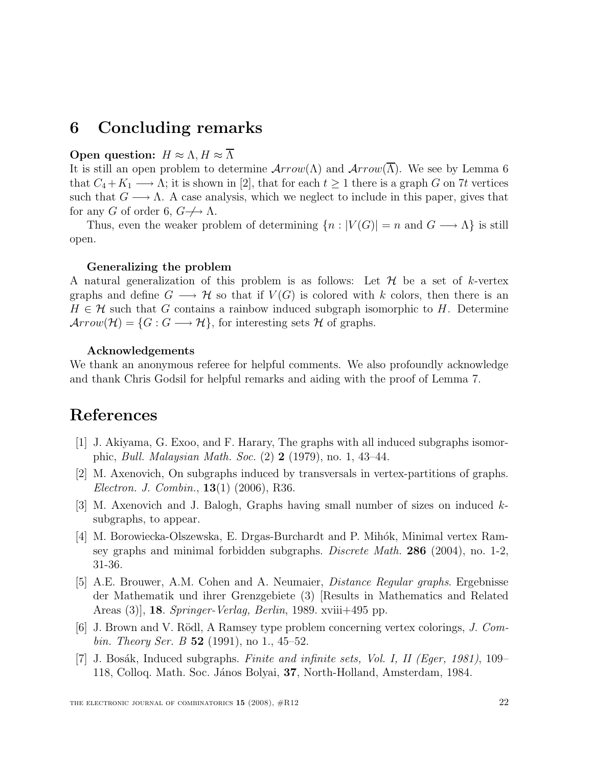# 6 Concluding remarks

### Open question:  $H \approx \Lambda$ ,  $H \approx \overline{\Lambda}$

It is still an open problem to determine  $Arrow(\Lambda)$  and  $Arrow(\overline{\Lambda})$ . We see by Lemma 6 that  $C_4 + K_1 \longrightarrow \Lambda$ ; it is shown in [2], that for each  $t \geq 1$  there is a graph G on 7t vertices such that  $G \longrightarrow \Lambda$ . A case analysis, which we neglect to include in this paper, gives that for any G of order 6,  $G \nrightarrow \Lambda$ .

Thus, even the weaker problem of determining  $\{n : |V(G)| = n \text{ and } G \longrightarrow \Lambda\}$  is still open.

#### Generalizing the problem

A natural generalization of this problem is as follows: Let  $H$  be a set of k-vertex graphs and define  $G \longrightarrow \mathcal{H}$  so that if  $V(G)$  is colored with k colors, then there is an  $H \in \mathcal{H}$  such that G contains a rainbow induced subgraph isomorphic to H. Determine  $Arrow(\mathcal{H}) = \{G : G \longrightarrow \mathcal{H}\},$  for interesting sets H of graphs.

#### Acknowledgements

We thank an anonymous referee for helpful comments. We also profoundly acknowledge and thank Chris Godsil for helpful remarks and aiding with the proof of Lemma 7.

# References

- [1] J. Akiyama, G. Exoo, and F. Harary, The graphs with all induced subgraphs isomorphic, Bull. Malaysian Math. Soc. (2) 2 (1979), no. 1, 43–44.
- [2] M. Axenovich, On subgraphs induced by transversals in vertex-partitions of graphs. Electron. J. Combin., 13(1) (2006), R36.
- [3] M. Axenovich and J. Balogh, Graphs having small number of sizes on induced ksubgraphs, to appear.
- [4] M. Borowiecka-Olszewska, E. Drgas-Burchardt and P. Mihók, Minimal vertex Ramsey graphs and minimal forbidden subgraphs. *Discrete Math.* 286 (2004), no. 1-2, 31-36.
- [5] A.E. Brouwer, A.M. Cohen and A. Neumaier, Distance Regular graphs. Ergebnisse der Mathematik und ihrer Grenzgebiete (3) [Results in Mathematics and Related Areas (3), **18**. Springer-Verlag, Berlin, 1989. xviii+495 pp.
- [6] J. Brown and V. Rödl, A Ramsey type problem concerning vertex colorings,  $J.$  Com*bin. Theory Ser. B* 52 (1991), no 1., 45–52.
- [7] J. Bosák, Induced subgraphs. Finite and infinite sets, Vol. I, II (Eger, 1981), 109– 118, Colloq. Math. Soc. János Bolyai, 37, North-Holland, Amsterdam, 1984.